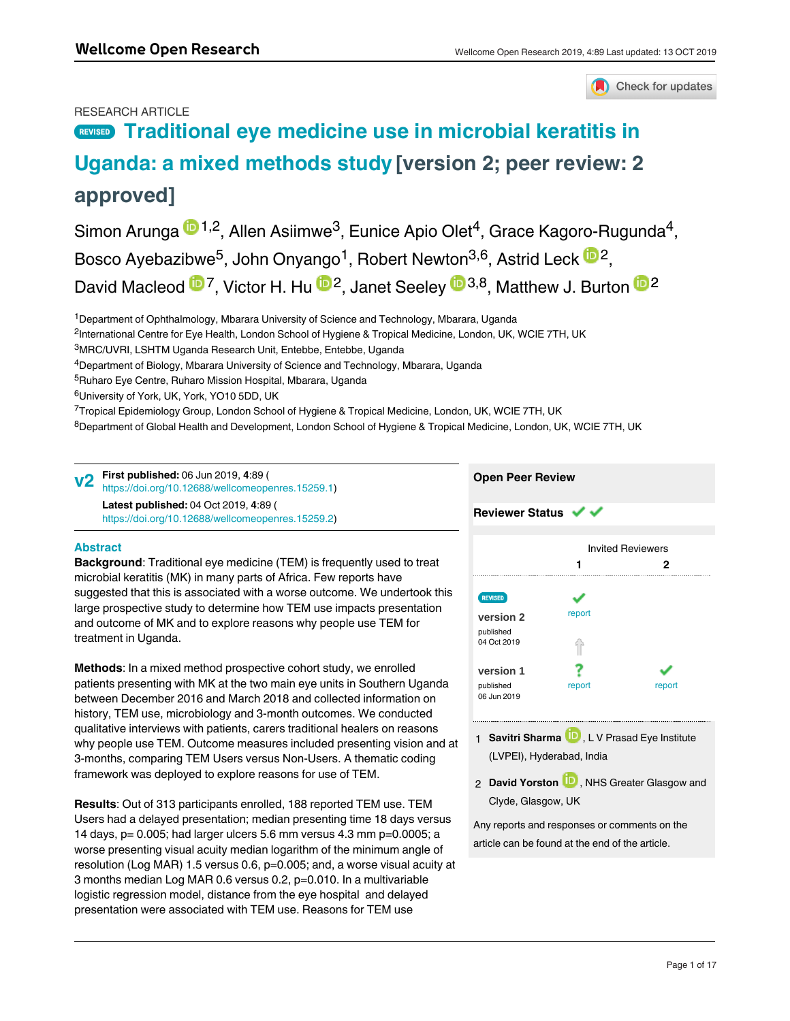# RESEARCH ARTICLE

Check for updates

# **REVISED** [Traditional eye medicine use in microbial keratitis in](https://wellcomeopenresearch.org/articles/4-89/v2) **[Uganda: a mixed methods study](https://wellcomeopenresearch.org/articles/4-89/v2) [version 2; peer review: 2 approved]**

Simon Arunga  $\blacksquare$ 1,2, Allen Asiimwe<sup>3</sup>, Eunice Apio Olet<sup>4</sup>, Grace Kagoro-Rugunda<sup>4</sup>, Bosco Ayebazibwe<sup>5</sup>, John Onyango<sup>1</sup>, Robert Newton<sup>3,6</sup>, Astrid Leck <sup>in 2</sup>, David Macleod <sup>1</sup>D<sup>7</sup>, Victor H. Hu <sup>1D2</sup>, Janet Seeley <sup>1D 3,8</sup>, Matthew J. Burton <sup>1D 2</sup>

<sup>1</sup>Department of Ophthalmology, Mbarara University of Science and Technology, Mbarara, Uganda

<sup>2</sup>International Centre for Eye Health, London School of Hygiene & Tropical Medicine, London, UK, WCIE 7TH, UK

- <sup>3</sup>MRC/UVRI, LSHTM Uganda Research Unit, Entebbe, Entebbe, Uganda
- <sup>4</sup>Department of Biology, Mbarara University of Science and Technology, Mbarara, Uganda
- <sup>5</sup>Ruharo Eye Centre, Ruharo Mission Hospital, Mbarara, Uganda
- <sup>6</sup>University of York, UK, York, YO10 5DD, UK

<sup>7</sup>Tropical Epidemiology Group, London School of Hygiene & Tropical Medicine, London, UK, WCIE 7TH, UK

<sup>8</sup>Department of Global Health and Development, London School of Hygiene & Tropical Medicine, London, UK, WCIE 7TH, UK

**First published:** 06 Jun 2019, **4**:89 ( [https://doi.org/10.12688/wellcomeopenres.15259.1\)](https://doi.org/10.12688/wellcomeopenres.15259.1) **v2**

**Latest published:** 04 Oct 2019, **4**:89 ( [https://doi.org/10.12688/wellcomeopenres.15259.2\)](https://doi.org/10.12688/wellcomeopenres.15259.2)

# **Open Peer Review**

**Reviewer Status ↓** 

# **Abstract**

**Background**: Traditional eye medicine (TEM) is frequently used to treat microbial keratitis (MK) in many parts of Africa. Few reports have suggested that this is associated with a worse outcome. We undertook this large prospective study to determine how TEM use impacts presentation and outcome of MK and to explore reasons why people use TEM for treatment in Uganda.

**Methods**: In a mixed method prospective cohort study, we enrolled patients presenting with MK at the two main eye units in Southern Uganda between December 2016 and March 2018 and collected information on history, TEM use, microbiology and 3-month outcomes. We conducted qualitative interviews with patients, carers traditional healers on reasons why people use TEM. Outcome measures included presenting vision and at 3-months, comparing TEM Users versus Non-Users. A thematic coding framework was deployed to explore reasons for use of TEM.

**Results**: Out of 313 participants enrolled, 188 reported TEM use. TEM Users had a delayed presentation; median presenting time 18 days versus 14 days, p= 0.005; had larger ulcers 5.6 mm versus 4.3 mm p=0.0005; a worse presenting visual acuity median logarithm of the minimum angle of resolution (Log MAR) 1.5 versus 0.6, p=0.005; and, a worse visual acuity at 3 months median Log MAR 0.6 versus 0.2, p=0.010. In a multivariable logistic regression model, distance from the eye hospital and delayed presentation were associated with TEM use. Reasons for TEM use

included lack of confidence in conventional medicine, health system



1 **Savitri Sharma UV**, L V Prasad Eye Institute (LVPEI), Hyderabad, India

2 David Yorston **UV**, NHS Greater Glasgow and Clyde, Glasgow, UK

Any reports and responses or comments on the article can be found at the end of the article.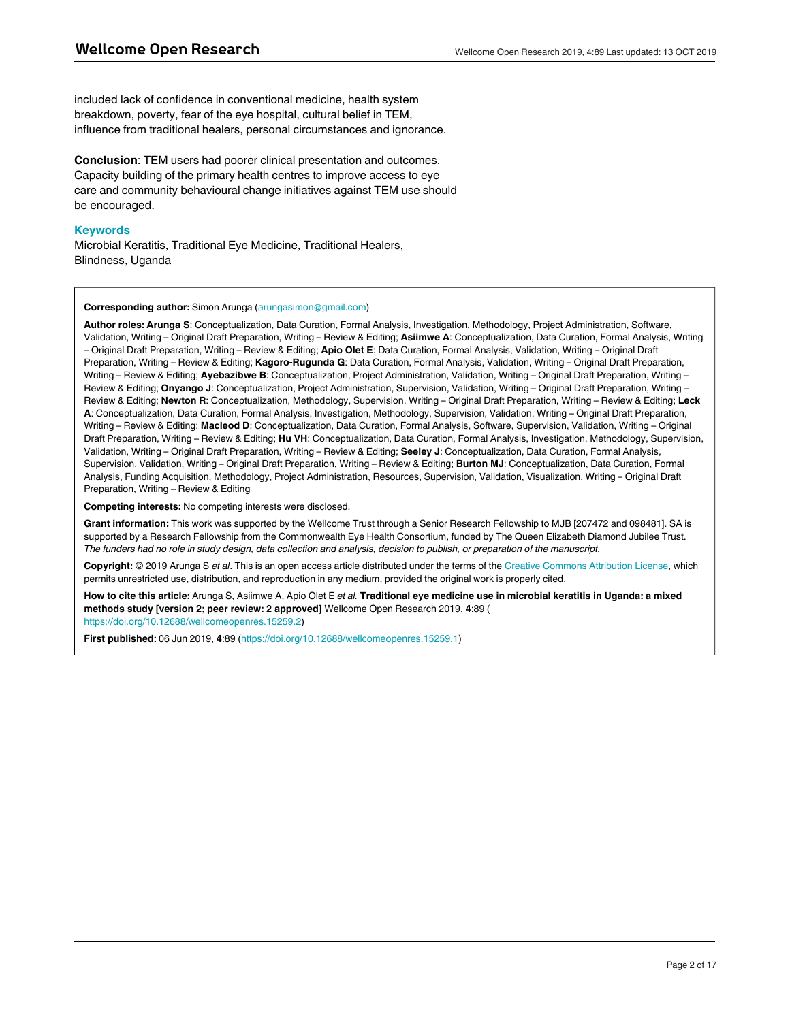included lack of confidence in conventional medicine, health system breakdown, poverty, fear of the eye hospital, cultural belief in TEM, influence from traditional healers, personal circumstances and ignorance.

**Conclusion**: TEM users had poorer clinical presentation and outcomes. Capacity building of the primary health centres to improve access to eye care and community behavioural change initiatives against TEM use should be encouraged.

# **Keywords**

Microbial Keratitis, Traditional Eye Medicine, Traditional Healers, Blindness, Uganda

# **Corresponding author:** Simon Arunga (arungasimon@gmail.com)

**Author roles: Arunga S**: Conceptualization, Data Curation, Formal Analysis, Investigation, Methodology, Project Administration, Software, Validation, Writing – Original Draft Preparation, Writing – Review & Editing; **Asiimwe A**: Conceptualization, Data Curation, Formal Analysis, Writing – Original Draft Preparation, Writing – Review & Editing; **Apio Olet E**: Data Curation, Formal Analysis, Validation, Writing – Original Draft Preparation, Writing – Review & Editing; **Kagoro-Rugunda G**: Data Curation, Formal Analysis, Validation, Writing – Original Draft Preparation, Writing – Review & Editing; **Ayebazibwe B**: Conceptualization, Project Administration, Validation, Writing – Original Draft Preparation, Writing – Review & Editing; **Onyango J**: Conceptualization, Project Administration, Supervision, Validation, Writing – Original Draft Preparation, Writing – Review & Editing; **Newton R**: Conceptualization, Methodology, Supervision, Writing – Original Draft Preparation, Writing – Review & Editing; **Leck A**: Conceptualization, Data Curation, Formal Analysis, Investigation, Methodology, Supervision, Validation, Writing – Original Draft Preparation, Writing – Review & Editing; Macleod D: Conceptualization, Data Curation, Formal Analysis, Software, Supervision, Validation, Writing – Original Draft Preparation, Writing – Review & Editing; **Hu VH**: Conceptualization, Data Curation, Formal Analysis, Investigation, Methodology, Supervision, Validation, Writing – Original Draft Preparation, Writing – Review & Editing; **Seeley J**: Conceptualization, Data Curation, Formal Analysis, Supervision, Validation, Writing – Original Draft Preparation, Writing – Review & Editing; **Burton MJ**: Conceptualization, Data Curation, Formal Analysis, Funding Acquisition, Methodology, Project Administration, Resources, Supervision, Validation, Visualization, Writing – Original Draft Preparation, Writing – Review & Editing

**Competing interests:** No competing interests were disclosed.

**Grant information:** This work was supported by the Wellcome Trust through a Senior Research Fellowship to MJB [207472 and 098481]. SA is supported by a Research Fellowship from the Commonwealth Eye Health Consortium, funded by The Queen Elizabeth Diamond Jubilee Trust. *The funders had no role in study design, data collection and analysis, decision to publish, or preparation of the manuscript.*

**Copyright:** © 2019 Arunga S *et al*. This is an open access article distributed under the terms of the [Creative Commons Attribution License](http://creativecommons.org/licenses/by/4.0/), which permits unrestricted use, distribution, and reproduction in any medium, provided the original work is properly cited.

**How to cite this article:** Arunga S, Asiimwe A, Apio Olet E *et al.* **Traditional eye medicine use in microbial keratitis in Uganda: a mixed methods study [version 2; peer review: 2 approved]** Wellcome Open Research 2019, **4**:89 ( [https://doi.org/10.12688/wellcomeopenres.15259.2\)](https://doi.org/10.12688/wellcomeopenres.15259.2)

**First published:** 06 Jun 2019, **4**:89 (<https://doi.org/10.12688/wellcomeopenres.15259.1>)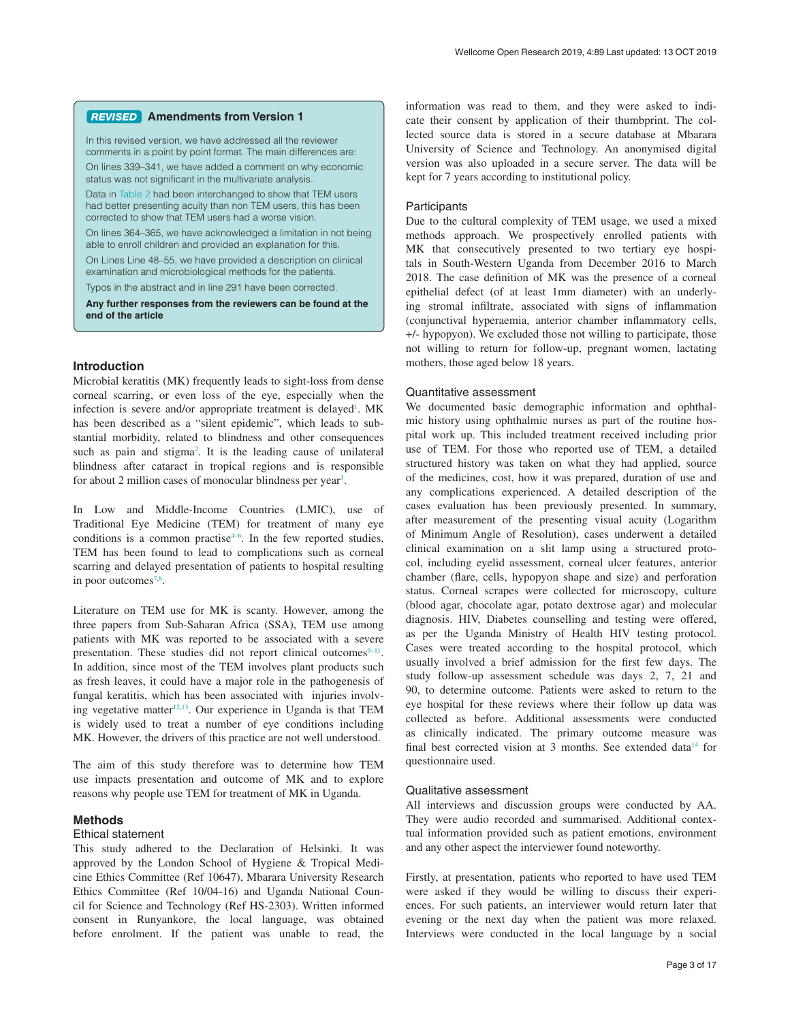#### **Amendments from Version 1** *REVISED*

In this revised version, we have addressed all the reviewer comments in a point by point format. The main differences are: On lines 339–341, we have added a comment on why economic

status was not significant in the multivariate analysis.

Data in [Table 2](#page-4-0) had been interchanged to show that TEM users had better presenting acuity than non TEM users, this has been corrected to show that TEM users had a worse vision.

On lines 364–365, we have acknowledged a limitation in not being able to enroll children and provided an explanation for this.

On Lines Line 48–55, we have provided a description on clinical examination and microbiological methods for the patients.

Typos in the abstract and in line 291 have been corrected.

**Any further responses from the reviewers can be found at the end of the article**

# **Introduction**

Microbial keratitis (MK) frequently leads to sight-loss from dense corneal scarring, or even loss of the eye, especially when the infection is severe and/or appropriate treatment is delayed<sup>[1](#page-9-0)</sup>. MK has been described as a "silent epidemic", which leads to substantial morbidity, related to blindness and other consequences such as pain and stigma<sup>2</sup>. It is the leading cause of unilateral blindness after cataract in tropical regions and is responsible for about 2 million cases of monocular blindness per year<sup>[3](#page-9-0)</sup>.

In Low and Middle-Income Countries (LMIC), use of Traditional Eye Medicine (TEM) for treatment of many eye conditions is a common practise $4-6$ . In the few reported studies, TEM has been found to lead to complications such as corneal scarring and delayed presentation of patients to hospital resulting in poor outcomes<sup>7,8</sup>.

Literature on TEM use for MK is scanty. However, among the three papers from Sub-Saharan Africa (SSA), TEM use among patients with MK was reported to be associated with a severe presentation. These studies did not report clinical outcomes $9-11$ . In addition, since most of the TEM involves plant products such as fresh leaves, it could have a major role in the pathogenesis of fungal keratitis, which has been associated with injuries involving vegetative matter<sup>12,13</sup>. Our experience in Uganda is that TEM is widely used to treat a number of eye conditions including MK. However, the drivers of this practice are not well understood.

The aim of this study therefore was to determine how TEM use impacts presentation and outcome of MK and to explore reasons why people use TEM for treatment of MK in Uganda.

# **Methods**

### Ethical statement

This study adhered to the Declaration of Helsinki. It was approved by the London School of Hygiene & Tropical Medicine Ethics Committee (Ref 10647), Mbarara University Research Ethics Committee (Ref 10/04-16) and Uganda National Council for Science and Technology (Ref HS-2303). Written informed consent in Runyankore, the local language, was obtained before enrolment. If the patient was unable to read, the

information was read to them, and they were asked to indicate their consent by application of their thumbprint. The collected source data is stored in a secure database at Mbarara University of Science and Technology. An anonymised digital version was also uploaded in a secure server. The data will be kept for 7 years according to institutional policy.

## **Participants**

Due to the cultural complexity of TEM usage, we used a mixed methods approach. We prospectively enrolled patients with MK that consecutively presented to two tertiary eye hospitals in South-Western Uganda from December 2016 to March 2018. The case definition of MK was the presence of a corneal epithelial defect (of at least 1mm diameter) with an underlying stromal infiltrate, associated with signs of inflammation (conjunctival hyperaemia, anterior chamber inflammatory cells, +/- hypopyon). We excluded those not willing to participate, those not willing to return for follow-up, pregnant women, lactating mothers, those aged below 18 years.

## Quantitative assessment

We documented basic demographic information and ophthalmic history using ophthalmic nurses as part of the routine hospital work up. This included treatment received including prior use of TEM. For those who reported use of TEM, a detailed structured history was taken on what they had applied, source of the medicines, cost, how it was prepared, duration of use and any complications experienced. A detailed description of the cases evaluation has been previously presented. In summary, after measurement of the presenting visual acuity (Logarithm of Minimum Angle of Resolution), cases underwent a detailed clinical examination on a slit lamp using a structured protocol, including eyelid assessment, corneal ulcer features, anterior chamber (flare, cells, hypopyon shape and size) and perforation status. Corneal scrapes were collected for microscopy, culture (blood agar, chocolate agar, potato dextrose agar) and molecular diagnosis. HIV, Diabetes counselling and testing were offered, as per the Uganda Ministry of Health HIV testing protocol. Cases were treated according to the hospital protocol, which usually involved a brief admission for the first few days. The study follow-up assessment schedule was days 2, 7, 21 and 90, to determine outcome. Patients were asked to return to the eye hospital for these reviews where their follow up data was collected as before. Additional assessments were conducted as clinically indicated. The primary outcome measure was final best corrected vision at 3 months. See extended data<sup>[14](#page-10-0)</sup> for questionnaire used.

## Qualitative assessment

All interviews and discussion groups were conducted by AA. They were audio recorded and summarised. Additional contextual information provided such as patient emotions, environment and any other aspect the interviewer found noteworthy.

Firstly, at presentation, patients who reported to have used TEM were asked if they would be willing to discuss their experiences. For such patients, an interviewer would return later that evening or the next day when the patient was more relaxed. Interviews were conducted in the local language by a social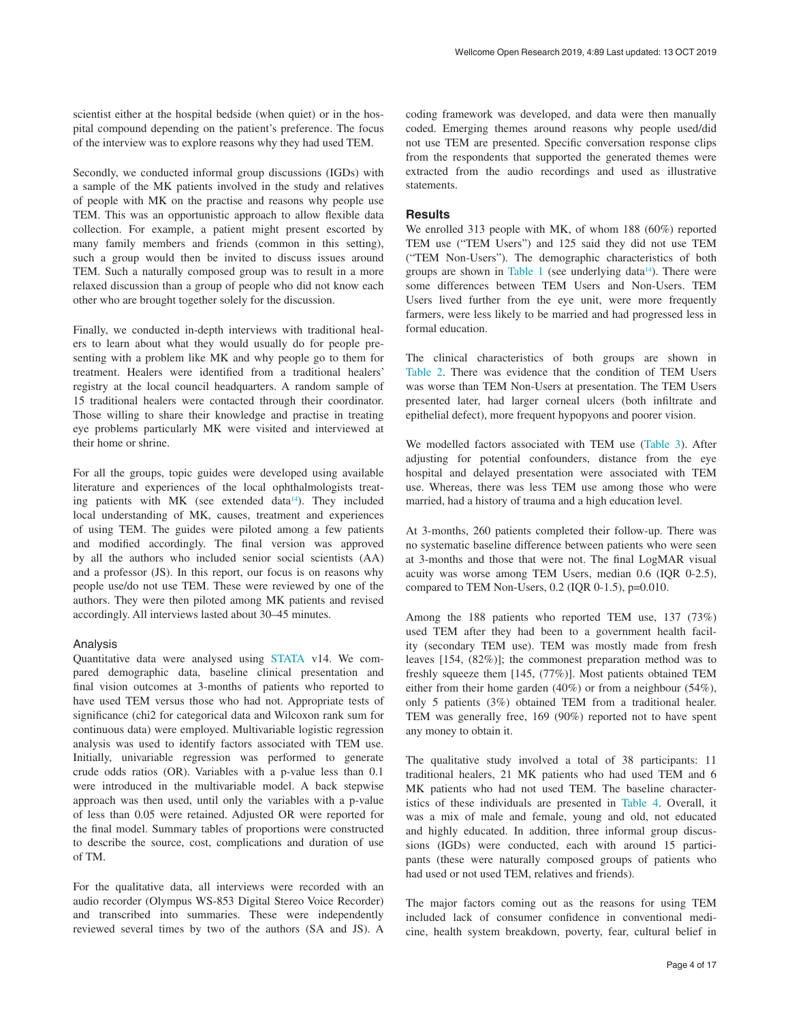scientist either at the hospital bedside (when quiet) or in the hospital compound depending on the patient's preference. The focus of the interview was to explore reasons why they had used TEM.

Secondly, we conducted informal group discussions (IGDs) with a sample of the MK patients involved in the study and relatives of people with MK on the practise and reasons why people use TEM. This was an opportunistic approach to allow flexible data collection. For example, a patient might present escorted by many family members and friends (common in this setting), such a group would then be invited to discuss issues around TEM. Such a naturally composed group was to result in a more relaxed discussion than a group of people who did not know each other who are brought together solely for the discussion.

Finally, we conducted in-depth interviews with traditional healers to learn about what they would usually do for people presenting with a problem like MK and why people go to them for treatment. Healers were identified from a traditional healers' registry at the local council headquarters. A random sample of 15 traditional healers were contacted through their coordinator. Those willing to share their knowledge and practise in treating eye problems particularly MK were visited and interviewed at their home or shrine.

For all the groups, topic guides were developed using available literature and experiences of the local ophthalmologists treating patients with MK (see extended data $14$ ). They included local understanding of MK, causes, treatment and experiences of using TEM. The guides were piloted among a few patients and modified accordingly. The final version was approved by all the authors who included senior social scientists (AA) and a professor (JS). In this report, our focus is on reasons why people use/do not use TEM. These were reviewed by one of the authors. They were then piloted among MK patients and revised accordingly. All interviews lasted about 30–45 minutes.

# Analysis

Quantitative data were analysed using [STATA](https://www.stata.com/) v14. We compared demographic data, baseline clinical presentation and final vision outcomes at 3-months of patients who reported to have used TEM versus those who had not. Appropriate tests of significance (chi2 for categorical data and Wilcoxon rank sum for continuous data) were employed. Multivariable logistic regression analysis was used to identify factors associated with TEM use. Initially, univariable regression was performed to generate crude odds ratios (OR). Variables with a p-value less than 0.1 were introduced in the multivariable model. A back stepwise approach was then used, until only the variables with a p-value of less than 0.05 were retained. Adjusted OR were reported for the final model. Summary tables of proportions were constructed to describe the source, cost, complications and duration of use of TM.

For the qualitative data, all interviews were recorded with an audio recorder (Olympus WS-853 Digital Stereo Voice Recorder) and transcribed into summaries. These were independently reviewed several times by two of the authors (SA and JS). A

coding framework was developed, and data were then manually coded. Emerging themes around reasons why people used/did not use TEM are presented. Specific conversation response clips from the respondents that supported the generated themes were extracted from the audio recordings and used as illustrative statements.

## **Results**

We enrolled 313 people with MK, of whom 188 (60%) reported TEM use ("TEM Users") and 125 said they did not use TEM ("TEM Non-Users"). The demographic characteristics of both groups are shown in [Table 1](#page-4-0) (see underlying data $1/4$ ). There were some differences between TEM Users and Non-Users. TEM Users lived further from the eye unit, were more frequently farmers, were less likely to be married and had progressed less in formal education.

The clinical characteristics of both groups are shown in [Table 2](#page-4-0). There was evidence that the condition of TEM Users was worse than TEM Non-Users at presentation. The TEM Users presented later, had larger corneal ulcers (both infiltrate and epithelial defect), more frequent hypopyons and poorer vision.

We modelled factors associated with TEM use [\(Table 3\)](#page-5-0). After adjusting for potential confounders, distance from the eye hospital and delayed presentation were associated with TEM use. Whereas, there was less TEM use among those who were married, had a history of trauma and a high education level.

At 3-months, 260 patients completed their follow-up. There was no systematic baseline difference between patients who were seen at 3-months and those that were not. The final LogMAR visual acuity was worse among TEM Users, median 0.6 (IQR 0-2.5), compared to TEM Non-Users, 0.2 (IQR 0-1.5), p=0.010.

Among the 188 patients who reported TEM use, 137 (73%) used TEM after they had been to a government health facility (secondary TEM use). TEM was mostly made from fresh leaves [154, (82%)]; the commonest preparation method was to freshly squeeze them [145, (77%)]. Most patients obtained TEM either from their home garden (40%) or from a neighbour (54%), only 5 patients (3%) obtained TEM from a traditional healer. TEM was generally free, 169 (90%) reported not to have spent any money to obtain it.

The qualitative study involved a total of 38 participants: 11 traditional healers, 21 MK patients who had used TEM and 6 MK patients who had not used TEM. The baseline characteristics of these individuals are presented in [Table 4](#page-6-0). Overall, it was a mix of male and female, young and old, not educated and highly educated. In addition, three informal group discussions (IGDs) were conducted, each with around 15 participants (these were naturally composed groups of patients who had used or not used TEM, relatives and friends).

The major factors coming out as the reasons for using TEM included lack of consumer confidence in conventional medicine, health system breakdown, poverty, fear, cultural belief in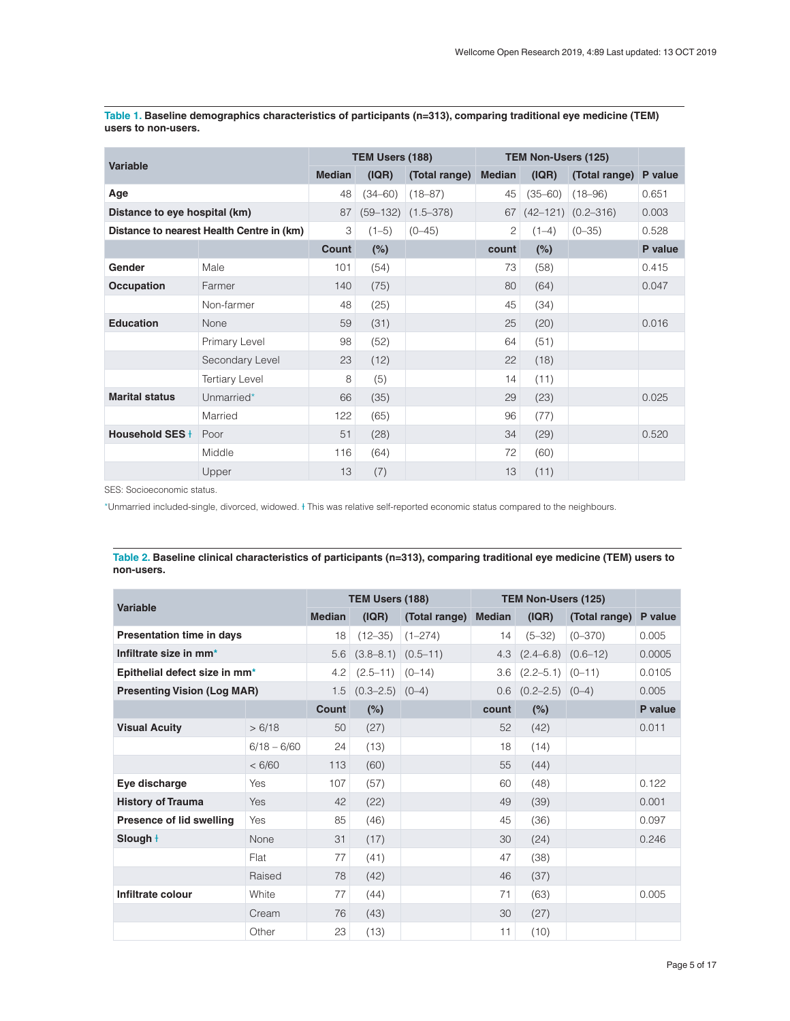| <b>Variable</b>               |                                           | TEM Users (188) |             |                        | TEM Non-Users (125) |             |                         |         |
|-------------------------------|-------------------------------------------|-----------------|-------------|------------------------|---------------------|-------------|-------------------------|---------|
|                               |                                           | <b>Median</b>   | ( IQR)      | (Total range)          | <b>Median</b>       | ( IQR)      | (Total range)           | P value |
| Age                           |                                           | 48              | $(34 - 60)$ | $(18 - 87)$            | 45                  | $(35 - 60)$ | $(18 - 96)$             | 0.651   |
| Distance to eye hospital (km) |                                           | 87              |             | $(59-132)$ $(1.5-378)$ |                     |             | $67$ (42-121) (0.2-316) | 0.003   |
|                               | Distance to nearest Health Centre in (km) | 3               | $(1-5)$     | $(0 - 45)$             | $\mathbf{2}$        | $(1-4)$     | $(0 - 35)$              | 0.528   |
|                               |                                           | Count           | $(\%)$      |                        | count               | (%)         |                         | P value |
| Gender                        | Male                                      | 101             | (54)        |                        | 73                  | (58)        |                         | 0.415   |
| <b>Occupation</b>             | Farmer                                    | 140             | (75)        |                        | 80                  | (64)        |                         | 0.047   |
|                               | Non-farmer                                | 48              | (25)        |                        | 45                  | (34)        |                         |         |
| <b>Education</b>              | None                                      | 59              | (31)        |                        | 25                  | (20)        |                         | 0.016   |
|                               | Primary Level                             | 98              | (52)        |                        | 64                  | (51)        |                         |         |
|                               | Secondary Level                           | 23              | (12)        |                        | 22                  | (18)        |                         |         |
|                               | <b>Tertiary Level</b>                     | 8               | (5)         |                        | 14                  | (11)        |                         |         |
| <b>Marital status</b>         | Unmarried*                                | 66              | (35)        |                        | 29                  | (23)        |                         | 0.025   |
|                               | Married                                   | 122             | (65)        |                        | 96                  | (77)        |                         |         |
| Household SES+                | Poor                                      | 51              | (28)        |                        | 34                  | (29)        |                         | 0.520   |
|                               | Middle                                    | 116             | (64)        |                        | 72                  | (60)        |                         |         |
|                               | Upper                                     | 13              | (7)         |                        | 13                  | (11)        |                         |         |

<span id="page-4-0"></span>**Table 1. Baseline demographics characteristics of participants (n=313), comparing traditional eye medicine (TEM) users to non-users.**

SES: Socioeconomic status.

\*Unmarried included-single, divorced, widowed. Ɨ This was relative self-reported economic status compared to the neighbours.

| Table 2. Baseline clinical characteristics of participants (n=313), comparing traditional eye medicine (TEM) users to |  |
|-----------------------------------------------------------------------------------------------------------------------|--|
| non-users.                                                                                                            |  |

| Variable                           |               | TEM Users (188) |                        |               | TEM Non-Users (125) |                          |               |         |
|------------------------------------|---------------|-----------------|------------------------|---------------|---------------------|--------------------------|---------------|---------|
|                                    |               | <b>Median</b>   | ( IQR)                 | (Total range) | <b>Median</b>       | (IQR)                    | (Total range) | P value |
| <b>Presentation time in days</b>   |               | 18              | $(12 - 35)$            | $(1 - 274)$   | 14                  | $(5 - 32)$               | $(0 - 370)$   | 0.005   |
| Infiltrate size in mm <sup>*</sup> |               | 5.6             | $(3.8-8.1)$ $(0.5-11)$ |               | 4.3                 | $(2.4-6.8)$ $(0.6-12)$   |               | 0.0005  |
| Epithelial defect size in mm*      |               | 4.2             | $(2.5 - 11)$           | $(0-14)$      | 3.6                 | $(2.2 - 5.1)$ $(0 - 11)$ |               | 0.0105  |
| <b>Presenting Vision (Log MAR)</b> |               | 1.5             | $(0.3-2.5)$ $(0-4)$    |               | 0.6                 | $(0.2 - 2.5)$ $(0 - 4)$  |               | 0.005   |
|                                    |               | Count           | (%)                    |               | count               | (%)                      |               | P value |
| <b>Visual Acuity</b>               | > 6/18        | 50              | (27)                   |               | 52                  | (42)                     |               | 0.011   |
|                                    | $6/18 - 6/60$ | 24              | (13)                   |               | 18                  | (14)                     |               |         |
|                                    | < 6/60        | 113             | (60)                   |               | 55                  | (44)                     |               |         |
| Eye discharge                      | <b>Yes</b>    | 107             | (57)                   |               | 60                  | (48)                     |               | 0.122   |
| <b>History of Trauma</b>           | Yes           | 42              | (22)                   |               | 49                  | (39)                     |               | 0.001   |
| Presence of lid swelling           | Yes           | 85              | (46)                   |               | 45                  | (36)                     |               | 0.097   |
| Slough +                           | None          | 31              | (17)                   |               | 30                  | (24)                     |               | 0.246   |
|                                    | <b>Flat</b>   | 77              | (41)                   |               | 47                  | (38)                     |               |         |
|                                    | Raised        | 78              | (42)                   |               | 46                  | (37)                     |               |         |
| Infiltrate colour                  | White         | 77              | (44)                   |               | 71                  | (63)                     |               | 0.005   |
|                                    | Cream         | 76              | (43)                   |               | 30                  | (27)                     |               |         |
|                                    | Other         | 23              | (13)                   |               | 11                  | (10)                     |               |         |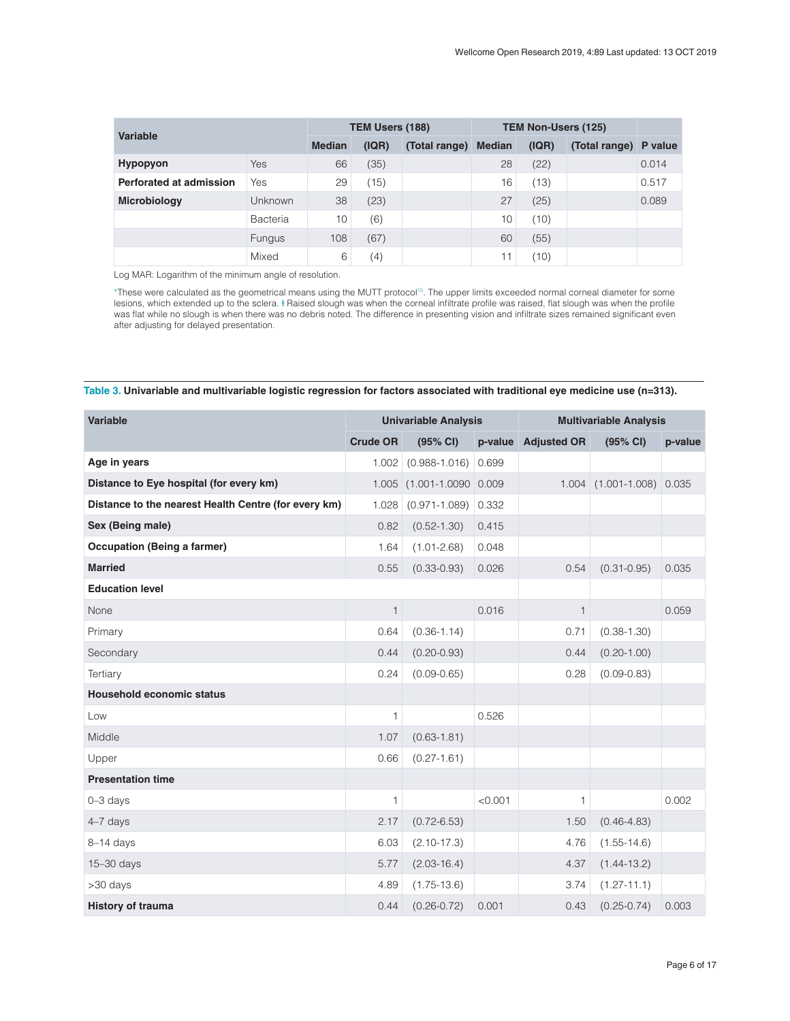<span id="page-5-0"></span>

| Variable                |                | TEM Users (188) |       |               | <b>TEM Non-Users (125)</b> |       |                       |       |
|-------------------------|----------------|-----------------|-------|---------------|----------------------------|-------|-----------------------|-------|
|                         |                | <b>Median</b>   | (IQR) | (Total range) | <b>Median</b>              | (IQR) | (Total range) P value |       |
| <b>Hypopyon</b>         | Yes            | 66              | (35)  |               | 28                         | (22)  |                       | 0.014 |
| Perforated at admission | Yes            | 29              | (15)  |               | 16                         | (13)  |                       | 0.517 |
| <b>Microbiology</b>     | <b>Unknown</b> | 38              | (23)  |               | 27                         | (25)  |                       | 0.089 |
|                         | Bacteria       | 10              | (6)   |               | 10                         | (10)  |                       |       |
|                         | <b>Fungus</b>  | 108             | (67)  |               | 60                         | (55)  |                       |       |
|                         | Mixed          | 6               | (4)   |               | 11                         | (10)  |                       |       |

Log MAR: Logarithm of the minimum angle of resolution.

\*These were calculated as the geometrical means using the MUTT protocol[15](#page-10-0). The upper limits exceeded normal corneal diameter for some lesions, which extended up to the sclera. Haised slough was when the corneal infiltrate profile was raised, flat slough was when the profile was flat while no slough is when there was no debris noted. The difference in presenting vision and infiltrate sizes remained significant even after adjusting for delayed presentation.

Table 3. Univariable and multivariable logistic regression for factors associated with traditional eye medicine use (n=313).

| Variable                                             | <b>Univariable Analysis</b> |                          |         | <b>Multivariable Analysis</b> |                           |         |  |
|------------------------------------------------------|-----------------------------|--------------------------|---------|-------------------------------|---------------------------|---------|--|
|                                                      | <b>Crude OR</b>             | (95% CI)                 | p-value | <b>Adjusted OR</b>            | (95% CI)                  | p-value |  |
| Age in years                                         | 1.002                       | $(0.988 - 1.016)$        | 0.699   |                               |                           |         |  |
| Distance to Eye hospital (for every km)              | 1.005                       | $(1.001 - 1.0090) 0.009$ |         |                               | $1.004$ $(1.001 - 1.008)$ | 0.035   |  |
| Distance to the nearest Health Centre (for every km) | 1.028                       | $(0.971 - 1.089)$        | 0.332   |                               |                           |         |  |
| Sex (Being male)                                     | 0.82                        | $(0.52 - 1.30)$          | 0.415   |                               |                           |         |  |
| <b>Occupation (Being a farmer)</b>                   | 1.64                        | $(1.01 - 2.68)$          | 0.048   |                               |                           |         |  |
| <b>Married</b>                                       | 0.55                        | $(0.33 - 0.93)$          | 0.026   | 0.54                          | $(0.31 - 0.95)$           | 0.035   |  |
| <b>Education level</b>                               |                             |                          |         |                               |                           |         |  |
| None                                                 | $\mathbf{1}$                |                          | 0.016   | 1                             |                           | 0.059   |  |
| Primary                                              | 0.64                        | $(0.36 - 1.14)$          |         | 0.71                          | $(0.38 - 1.30)$           |         |  |
| Secondary                                            | 0.44                        | $(0.20 - 0.93)$          |         | 0.44                          | $(0.20 - 1.00)$           |         |  |
| Tertiary                                             | 0.24                        | $(0.09 - 0.65)$          |         | 0.28                          | $(0.09 - 0.83)$           |         |  |
| Household economic status                            |                             |                          |         |                               |                           |         |  |
| Low                                                  | $\mathbf{1}$                |                          | 0.526   |                               |                           |         |  |
| Middle                                               | 1.07                        | $(0.63 - 1.81)$          |         |                               |                           |         |  |
| Upper                                                | 0.66                        | $(0.27 - 1.61)$          |         |                               |                           |         |  |
| <b>Presentation time</b>                             |                             |                          |         |                               |                           |         |  |
| $0 - 3$ days                                         | $\mathbf{1}$                |                          | < 0.001 | 1                             |                           | 0.002   |  |
| 4-7 days                                             | 2.17                        | $(0.72 - 6.53)$          |         | 1.50                          | $(0.46 - 4.83)$           |         |  |
| $8-14$ days                                          | 6.03                        | $(2.10 - 17.3)$          |         | 4.76                          | $(1.55 - 14.6)$           |         |  |
| 15-30 days                                           | 5.77                        | $(2.03 - 16.4)$          |         | 4.37                          | $(1.44 - 13.2)$           |         |  |
| >30 days                                             | 4.89                        | $(1.75 - 13.6)$          |         | 3.74                          | $(1.27 - 11.1)$           |         |  |
| <b>History of trauma</b>                             | 0.44                        | $(0.26 - 0.72)$          | 0.001   | 0.43                          | $(0.25 - 0.74)$           | 0.003   |  |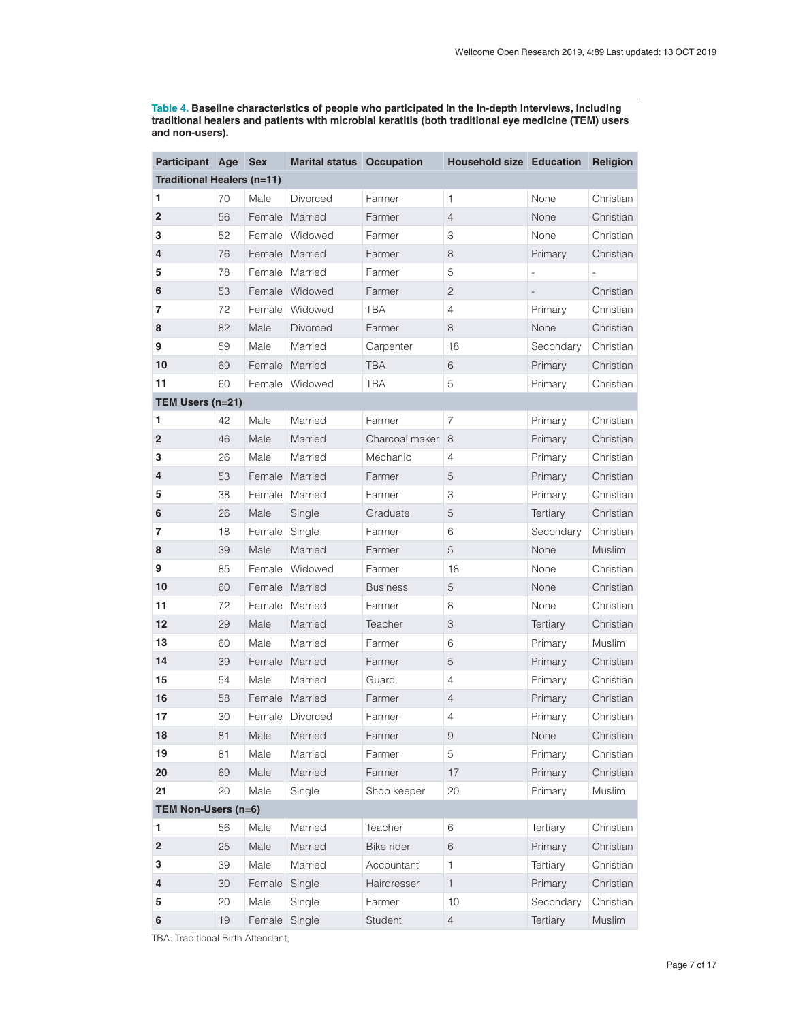<span id="page-6-0"></span>**Table 4. Baseline characteristics of people who participated in the in-depth interviews, including traditional healers and patients with microbial keratitis (both traditional eye medicine (TEM) users and non-users).**

| Participant Age            |    | <b>Sex</b> | <b>Marital status</b> Occupation |                 | <b>Household size Education</b> |                 | Religion  |
|----------------------------|----|------------|----------------------------------|-----------------|---------------------------------|-----------------|-----------|
| Traditional Healers (n=11) |    |            |                                  |                 |                                 |                 |           |
| 1                          | 70 | Male       | Divorced                         | Farmer          | $\mathbf{1}$                    | None            | Christian |
| $\overline{\mathbf{c}}$    | 56 |            | Female Married                   | Farmer          | $\overline{4}$                  | None            | Christian |
| 3                          | 52 |            | Female Widowed                   | Farmer          | 3                               | None            | Christian |
| 4                          | 76 |            | Female Married                   | Farmer          | $\,8\,$                         | Primary         | Christian |
| 5                          | 78 | Female     | Married                          | Farmer          | 5                               |                 |           |
| 6                          | 53 |            | Female Widowed                   | Farmer          | $\sqrt{2}$                      |                 | Christian |
| 7                          | 72 | Female     | Widowed                          | TBA             | $\overline{4}$                  | Primary         | Christian |
| 8                          | 82 | Male       | Divorced                         | Farmer          | 8                               | None            | Christian |
| 9                          | 59 | Male       | Married                          | Carpenter       | 18                              | Secondary       | Christian |
| 10                         | 69 |            | Female Married                   | <b>TBA</b>      | 6                               | Primary         | Christian |
| 11                         | 60 | Female     | Widowed                          | TBA             | 5                               | Primary         | Christian |
| TEM Users (n=21)           |    |            |                                  |                 |                                 |                 |           |
| 1                          | 42 | Male       | Married                          | Farmer          | $\overline{7}$                  | Primary         | Christian |
| $\overline{2}$             | 46 | Male       | Married                          | Charcoal maker  | 8                               | Primary         | Christian |
| 3                          | 26 | Male       | Married                          | Mechanic        | 4                               | Primary         | Christian |
| 4                          | 53 |            | Female Married                   | Farmer          | 5                               | Primary         | Christian |
| 5                          | 38 |            | Female   Married                 | Farmer          | 3                               | Primary         | Christian |
| 6                          | 26 | Male       | Single                           | Graduate        | 5                               | Tertiary        | Christian |
| 7                          | 18 | Female     | Single                           | Farmer          | 6                               | Secondary       | Christian |
| 8                          | 39 | Male       | Married                          | Farmer          | 5                               | None            | Muslim    |
| 9                          | 85 | Female     | Widowed                          | Farmer          | 18                              | None            | Christian |
| 10                         | 60 |            | Female Married                   | <b>Business</b> | $\mathbf 5$                     | None            | Christian |
| 11                         | 72 | Female     | Married                          | Farmer          | 8                               | None            | Christian |
| 12                         | 29 | Male       | Married                          | Teacher         | 3                               | <b>Tertiary</b> | Christian |
| 13                         | 60 | Male       | Married                          | Farmer          | 6                               | Primary         | Muslim    |
| 14                         | 39 |            | Female Married                   | Farmer          | 5                               | Primary         | Christian |
| 15                         | 54 | Male       | Married                          | Guard           | $\overline{4}$                  | Primary         | Christian |
| 16                         | 58 |            | Female Married                   | Farmer          | 4                               | Primary         | Christian |
| 17                         | 30 |            | Female Divorced                  | Farmer          | 4                               | Primary         | Christian |
| 18                         | 81 |            | Male Married                     | Farmer          | $\overline{9}$                  | None            | Christian |
| 19                         | 81 | Male       | Married                          | Farmer          | 5                               | Primary         | Christian |
| 20                         | 69 | Male       | Married                          | Farmer          | 17                              | Primary         | Christian |
| 21                         | 20 | Male       | Single                           | Shop keeper     | 20                              | Primary         | Muslim    |
| TEM Non-Users (n=6)        |    |            |                                  |                 |                                 |                 |           |
| 1                          | 56 | Male       | Married                          | Teacher         | $\,$ 6 $\,$                     | Tertiary        | Christian |
| $\overline{\mathbf{c}}$    | 25 | Male       | Married                          | Bike rider      | 6                               | Primary         | Christian |
| 3                          | 39 | Male       | Married                          | Accountant      | 1                               | Tertiary        | Christian |
| 4                          | 30 | Female     | Single                           | Hairdresser     | $\mathbf{1}$                    | Primary         | Christian |
| 5                          | 20 | Male       | Single                           | Farmer          | 10                              | Secondary       | Christian |
| 6                          | 19 | Female     | Single                           | Student         | $\overline{4}$                  | Tertiary        | Muslim    |

TBA: Traditional Birth Attendant;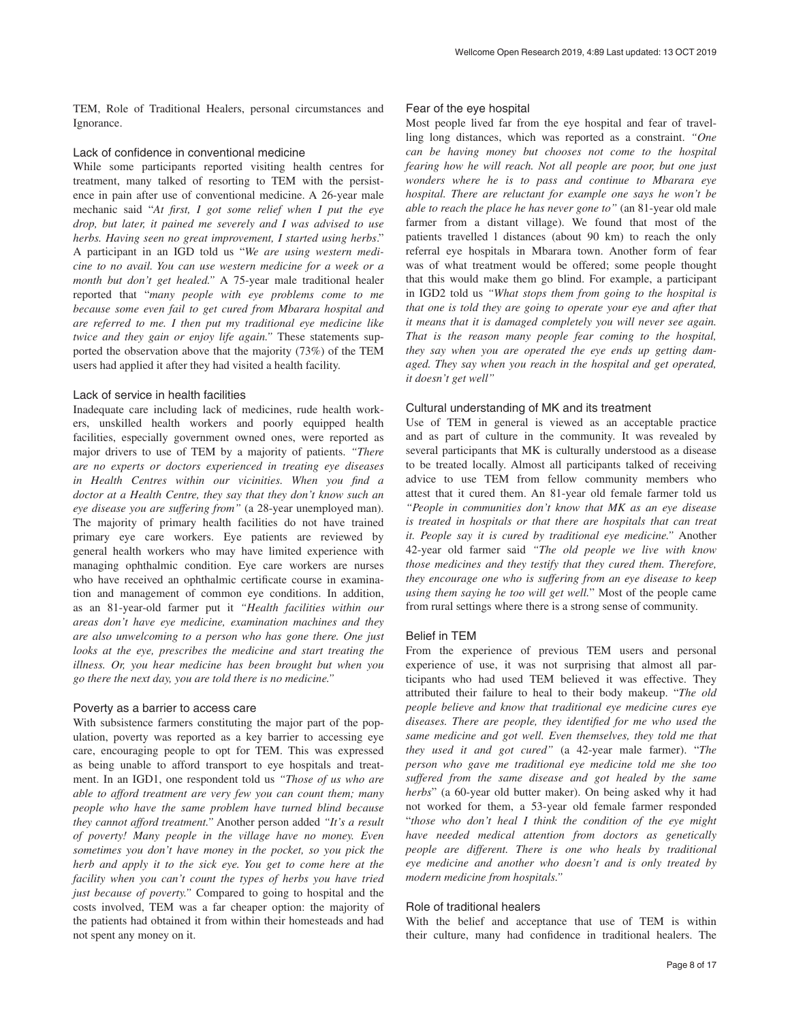TEM, Role of Traditional Healers, personal circumstances and Ignorance.

#### Lack of confidence in conventional medicine

While some participants reported visiting health centres for treatment, many talked of resorting to TEM with the persistence in pain after use of conventional medicine. A 26-year male mechanic said "*At first, I got some relief when I put the eye drop, but later, it pained me severely and I was advised to use herbs. Having seen no great improvement, I started using herbs*." A participant in an IGD told us "*We are using western medicine to no avail. You can use western medicine for a week or a month but don't get healed."* A 75-year male traditional healer reported that "*many people with eye problems come to me because some even fail to get cured from Mbarara hospital and are referred to me. I then put my traditional eye medicine like twice and they gain or enjoy life again."* These statements supported the observation above that the majority (73%) of the TEM users had applied it after they had visited a health facility.

## Lack of service in health facilities

Inadequate care including lack of medicines, rude health workers, unskilled health workers and poorly equipped health facilities, especially government owned ones, were reported as major drivers to use of TEM by a majority of patients. *"There are no experts or doctors experienced in treating eye diseases in Health Centres within our vicinities. When you find a doctor at a Health Centre, they say that they don't know such an eye disease you are suffering from"* (a 28-year unemployed man). The majority of primary health facilities do not have trained primary eye care workers. Eye patients are reviewed by general health workers who may have limited experience with managing ophthalmic condition. Eye care workers are nurses who have received an ophthalmic certificate course in examination and management of common eye conditions. In addition, as an 81-year-old farmer put it *"Health facilities within our areas don't have eye medicine, examination machines and they are also unwelcoming to a person who has gone there. One just looks at the eye, prescribes the medicine and start treating the illness. Or, you hear medicine has been brought but when you go there the next day, you are told there is no medicine."*

### Poverty as a barrier to access care

With subsistence farmers constituting the major part of the population, poverty was reported as a key barrier to accessing eye care, encouraging people to opt for TEM. This was expressed as being unable to afford transport to eye hospitals and treatment. In an IGD1, one respondent told us *"Those of us who are able to afford treatment are very few you can count them; many people who have the same problem have turned blind because they cannot afford treatment."* Another person added *"It's a result of poverty! Many people in the village have no money. Even sometimes you don't have money in the pocket, so you pick the herb and apply it to the sick eye. You get to come here at the facility when you can't count the types of herbs you have tried just because of poverty."* Compared to going to hospital and the costs involved, TEM was a far cheaper option: the majority of the patients had obtained it from within their homesteads and had not spent any money on it.

## Fear of the eye hospital

Most people lived far from the eye hospital and fear of travelling long distances, which was reported as a constraint. *"One can be having money but chooses not come to the hospital fearing how he will reach. Not all people are poor, but one just wonders where he is to pass and continue to Mbarara eye hospital. There are reluctant for example one says he won't be able to reach the place he has never gone to"* (an 81-year old male farmer from a distant village). We found that most of the patients travelled l distances (about 90 km) to reach the only referral eye hospitals in Mbarara town. Another form of fear was of what treatment would be offered; some people thought that this would make them go blind. For example, a participant in IGD2 told us *"What stops them from going to the hospital is that one is told they are going to operate your eye and after that it means that it is damaged completely you will never see again. That is the reason many people fear coming to the hospital, they say when you are operated the eye ends up getting damaged. They say when you reach in the hospital and get operated, it doesn't get well"*

#### Cultural understanding of MK and its treatment

Use of TEM in general is viewed as an acceptable practice and as part of culture in the community. It was revealed by several participants that MK is culturally understood as a disease to be treated locally. Almost all participants talked of receiving advice to use TEM from fellow community members who attest that it cured them. An 81-year old female farmer told us *"People in communities don't know that MK as an eye disease is treated in hospitals or that there are hospitals that can treat it. People say it is cured by traditional eye medicine."* Another 42-year old farmer said *"The old people we live with know those medicines and they testify that they cured them. Therefore, they encourage one who is suffering from an eye disease to keep using them saying he too will get well.*" Most of the people came from rural settings where there is a strong sense of community.

## Belief in TEM

From the experience of previous TEM users and personal experience of use, it was not surprising that almost all participants who had used TEM believed it was effective. They attributed their failure to heal to their body makeup. "*The old people believe and know that traditional eye medicine cures eye diseases. There are people, they identified for me who used the same medicine and got well. Even themselves, they told me that they used it and got cured"* (a 42-year male farmer). "*The person who gave me traditional eye medicine told me she too suffered from the same disease and got healed by the same herbs*" (a 60-year old butter maker). On being asked why it had not worked for them, a 53-year old female farmer responded "*those who don't heal I think the condition of the eye might have needed medical attention from doctors as genetically people are different. There is one who heals by traditional eye medicine and another who doesn't and is only treated by modern medicine from hospitals."*

## Role of traditional healers

With the belief and acceptance that use of TEM is within their culture, many had confidence in traditional healers. The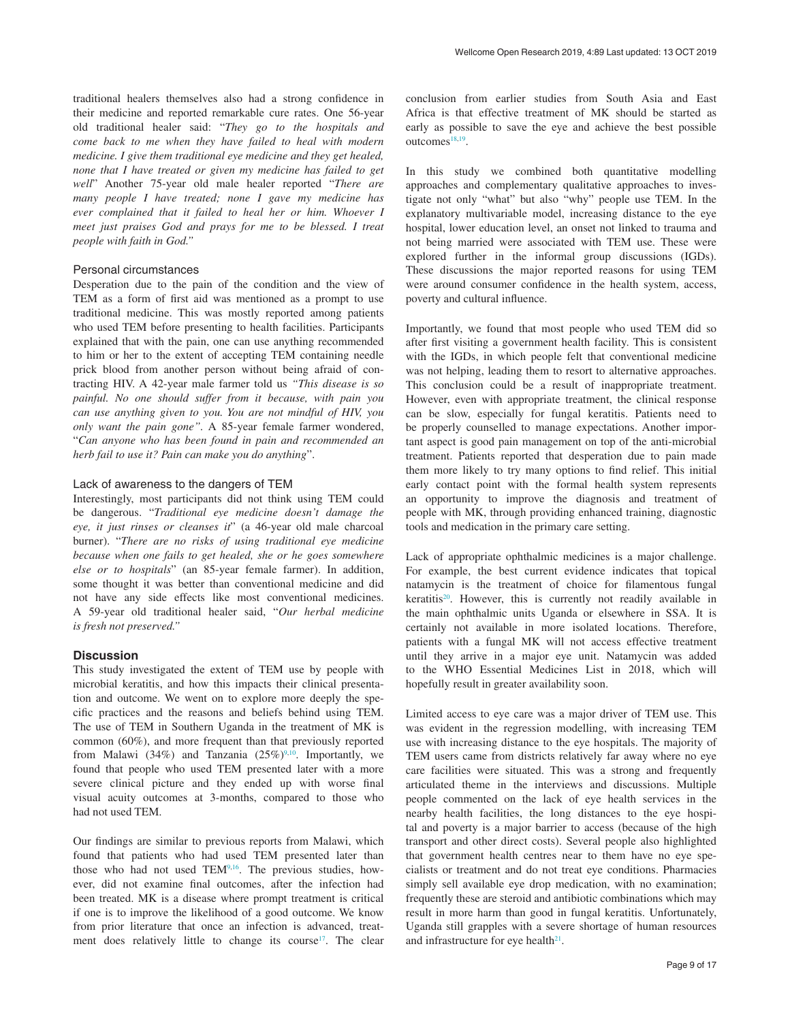traditional healers themselves also had a strong confidence in their medicine and reported remarkable cure rates. One 56-year old traditional healer said: "*They go to the hospitals and come back to me when they have failed to heal with modern medicine. I give them traditional eye medicine and they get healed, none that I have treated or given my medicine has failed to get well*" Another 75-year old male healer reported "*There are many people I have treated; none I gave my medicine has ever complained that it failed to heal her or him. Whoever I meet just praises God and prays for me to be blessed. I treat people with faith in God."*

# Personal circumstances

Desperation due to the pain of the condition and the view of TEM as a form of first aid was mentioned as a prompt to use traditional medicine. This was mostly reported among patients who used TEM before presenting to health facilities. Participants explained that with the pain, one can use anything recommended to him or her to the extent of accepting TEM containing needle prick blood from another person without being afraid of contracting HIV. A 42-year male farmer told us *"This disease is so painful. No one should suffer from it because, with pain you can use anything given to you. You are not mindful of HIV, you only want the pain gone".* A 85-year female farmer wondered, "*Can anyone who has been found in pain and recommended an herb fail to use it? Pain can make you do anything*".

# Lack of awareness to the dangers of TEM

Interestingly, most participants did not think using TEM could be dangerous. "*Traditional eye medicine doesn't damage the eye, it just rinses or cleanses it*" (a 46-year old male charcoal burner). "*There are no risks of using traditional eye medicine because when one fails to get healed, she or he goes somewhere else or to hospitals*" (an 85-year female farmer). In addition, some thought it was better than conventional medicine and did not have any side effects like most conventional medicines. A 59-year old traditional healer said, "*Our herbal medicine is fresh not preserved."*

## **Discussion**

This study investigated the extent of TEM use by people with microbial keratitis, and how this impacts their clinical presentation and outcome. We went on to explore more deeply the specific practices and the reasons and beliefs behind using TEM. The use of TEM in Southern Uganda in the treatment of MK is common (60%), and more frequent than that previously reported from Malawi (34%) and Tanzania (25%)<sup>9,10</sup>. Importantly, we found that people who used TEM presented later with a more severe clinical picture and they ended up with worse final visual acuity outcomes at 3-months, compared to those who had not used TEM.

Our findings are similar to previous reports from Malawi, which found that patients who had used TEM presented later than those who had not used TEM<sup>9,16</sup>. The previous studies, however, did not examine final outcomes, after the infection had been treated. MK is a disease where prompt treatment is critical if one is to improve the likelihood of a good outcome. We know from prior literature that once an infection is advanced, treatment does relatively little to change its course<sup>17</sup>. The clear

conclusion from earlier studies from South Asia and East Africa is that effective treatment of MK should be started as early as possible to save the eye and achieve the best possible outcomes $18,19$ .

In this study we combined both quantitative modelling approaches and complementary qualitative approaches to investigate not only "what" but also "why" people use TEM. In the explanatory multivariable model, increasing distance to the eye hospital, lower education level, an onset not linked to trauma and not being married were associated with TEM use. These were explored further in the informal group discussions (IGDs). These discussions the major reported reasons for using TEM were around consumer confidence in the health system, access, poverty and cultural influence.

Importantly, we found that most people who used TEM did so after first visiting a government health facility. This is consistent with the IGDs, in which people felt that conventional medicine was not helping, leading them to resort to alternative approaches. This conclusion could be a result of inappropriate treatment. However, even with appropriate treatment, the clinical response can be slow, especially for fungal keratitis. Patients need to be properly counselled to manage expectations. Another important aspect is good pain management on top of the anti-microbial treatment. Patients reported that desperation due to pain made them more likely to try many options to find relief. This initial early contact point with the formal health system represents an opportunity to improve the diagnosis and treatment of people with MK, through providing enhanced training, diagnostic tools and medication in the primary care setting.

Lack of appropriate ophthalmic medicines is a major challenge. For example, the best current evidence indicates that topical natamycin is the treatment of choice for filamentous fungal keratitis<sup>20</sup>. However, this is currently not readily available in the main ophthalmic units Uganda or elsewhere in SSA. It is certainly not available in more isolated locations. Therefore, patients with a fungal MK will not access effective treatment until they arrive in a major eye unit. Natamycin was added to the WHO Essential Medicines List in 2018, which will hopefully result in greater availability soon.

Limited access to eye care was a major driver of TEM use. This was evident in the regression modelling, with increasing TEM use with increasing distance to the eye hospitals. The majority of TEM users came from districts relatively far away where no eye care facilities were situated. This was a strong and frequently articulated theme in the interviews and discussions. Multiple people commented on the lack of eye health services in the nearby health facilities, the long distances to the eye hospital and poverty is a major barrier to access (because of the high transport and other direct costs). Several people also highlighted that government health centres near to them have no eye specialists or treatment and do not treat eye conditions. Pharmacies simply sell available eye drop medication, with no examination; frequently these are steroid and antibiotic combinations which may result in more harm than good in fungal keratitis. Unfortunately, Uganda still grapples with a severe shortage of human resources and infrastructure for eye health $21$ .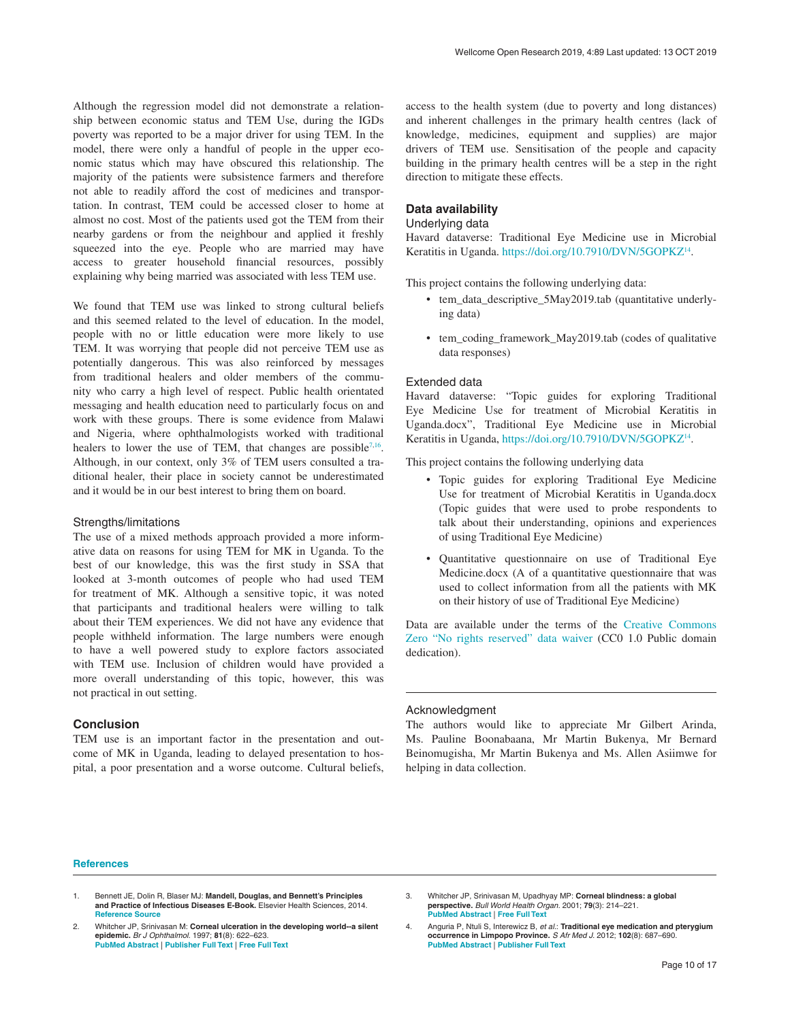<span id="page-9-0"></span>Although the regression model did not demonstrate a relationship between economic status and TEM Use, during the IGDs poverty was reported to be a major driver for using TEM. In the model, there were only a handful of people in the upper economic status which may have obscured this relationship. The majority of the patients were subsistence farmers and therefore not able to readily afford the cost of medicines and transportation. In contrast, TEM could be accessed closer to home at almost no cost. Most of the patients used got the TEM from their nearby gardens or from the neighbour and applied it freshly squeezed into the eye. People who are married may have access to greater household financial resources, possibly explaining why being married was associated with less TEM use.

We found that TEM use was linked to strong cultural beliefs and this seemed related to the level of education. In the model, people with no or little education were more likely to use TEM. It was worrying that people did not perceive TEM use as potentially dangerous. This was also reinforced by messages from traditional healers and older members of the community who carry a high level of respect. Public health orientated messaging and health education need to particularly focus on and work with these groups. There is some evidence from Malawi and Nigeria, where ophthalmologists worked with traditional healers to lower the use of TEM, that changes are possible<sup>7,16</sup>. Although, in our context, only 3% of TEM users consulted a traditional healer, their place in society cannot be underestimated and it would be in our best interest to bring them on board.

#### Strengths/limitations

The use of a mixed methods approach provided a more informative data on reasons for using TEM for MK in Uganda. To the best of our knowledge, this was the first study in SSA that looked at 3-month outcomes of people who had used TEM for treatment of MK. Although a sensitive topic, it was noted that participants and traditional healers were willing to talk about their TEM experiences. We did not have any evidence that people withheld information. The large numbers were enough to have a well powered study to explore factors associated with TEM use. Inclusion of children would have provided a more overall understanding of this topic, however, this was not practical in out setting.

# **Conclusion**

TEM use is an important factor in the presentation and outcome of MK in Uganda, leading to delayed presentation to hospital, a poor presentation and a worse outcome. Cultural beliefs, access to the health system (due to poverty and long distances) and inherent challenges in the primary health centres (lack of knowledge, medicines, equipment and supplies) are major drivers of TEM use. Sensitisation of the people and capacity building in the primary health centres will be a step in the right direction to mitigate these effects.

# **Data availability**

# Underlying data

Havard dataverse: Traditional Eye Medicine use in Microbial Keratitis in Uganda. [https://doi.org/10.7910/DVN/5GOPKZ](https://dx.doi.org/10.7910/DVN/5GOPKZ)<sup>14</sup>.

This project contains the following underlying data:

- tem\_data\_descriptive\_5May2019.tab (quantitative underlying data)
- tem\_coding\_framework\_May2019.tab (codes of qualitative data responses)

#### Extended data

Havard dataverse: "Topic guides for exploring Traditional Eye Medicine Use for treatment of Microbial Keratitis in Uganda.docx", Traditional Eye Medicine use in Microbial Keratitis in Uganda, [https://doi.org/10.7910/DVN/5GOPKZ](https://dx.doi.org/10.7910/DVN/5GOPKZ)[14.](#page-10-0)

This project contains the following underlying data

- Topic guides for exploring Traditional Eye Medicine Use for treatment of Microbial Keratitis in Uganda.docx (Topic guides that were used to probe respondents to talk about their understanding, opinions and experiences of using Traditional Eye Medicine)
- Quantitative questionnaire on use of Traditional Eye Medicine.docx (A of a quantitative questionnaire that was used to collect information from all the patients with MK on their history of use of Traditional Eye Medicine)

Data are available under the terms of the [Creative Commons](http://creativecommons.org/publicdomain/zero/1.0/)  [Zero "No rights reserved" data waiver](http://creativecommons.org/publicdomain/zero/1.0/) (CC0 1.0 Public domain dedication).

#### Acknowledgment

The authors would like to appreciate Mr Gilbert Arinda, Ms. Pauline Boonabaana, Mr Martin Bukenya, Mr Bernard Beinomugisha, Mr Martin Bukenya and Ms. Allen Asiimwe for helping in data collection.

#### **References**

- 2. Whitcher JP, Srinivasan M: **Corneal ulceration in the developing world--a silent epidemic.** *Br J Ophthalmol.* 1997; **81**(8): 622–623. **PubMed [Abstract](http://www.ncbi.nlm.nih.gov/pubmed/9349145)** | **[Publisher](http://dx.doi.org/10.1136/bjo.81.8.622) Full Text** | **[Free](http://www.ncbi.nlm.nih.gov/pmc/articles/1722289) Full Text**
- 3. Whitcher JP, Srinivasan M, Upadhyay MP: **Corneal blindness: a global perspective.** *Bull World Health Organ.* 2001; **79**(3): 214–221. **PubMed [Abstract](http://www.ncbi.nlm.nih.gov/pubmed/11285665)** | **[Free](http://www.ncbi.nlm.nih.gov/pmc/articles/2566379) Full Text**
- 4. Anguria P, Ntuli S, Interewicz B, *et al.*: **Traditional eye medication and pterygium occurrence in Limpopo Province.** *S Afr Med J.* 2012; **102**(8): 687–690. **PubMed [Abstract](http://www.ncbi.nlm.nih.gov/pubmed/22831948)** | **[Publisher](http://dx.doi.org/10.7196/SAMJ.5930) Full Text**

<sup>1.</sup> Bennett JE, Dolin R, Blaser MJ: **Mandell, Douglas, and Bennett's Principles and Practice of Infectious Diseases E-Book.** Elsevier Health Sciences, 2014. **[Reference](https://books.google.co.in/books/about/Mandell_Douglas_and_Bennett_s_Principles.html?id=73pYBAAAQBAJ&redir_esc=y) Source**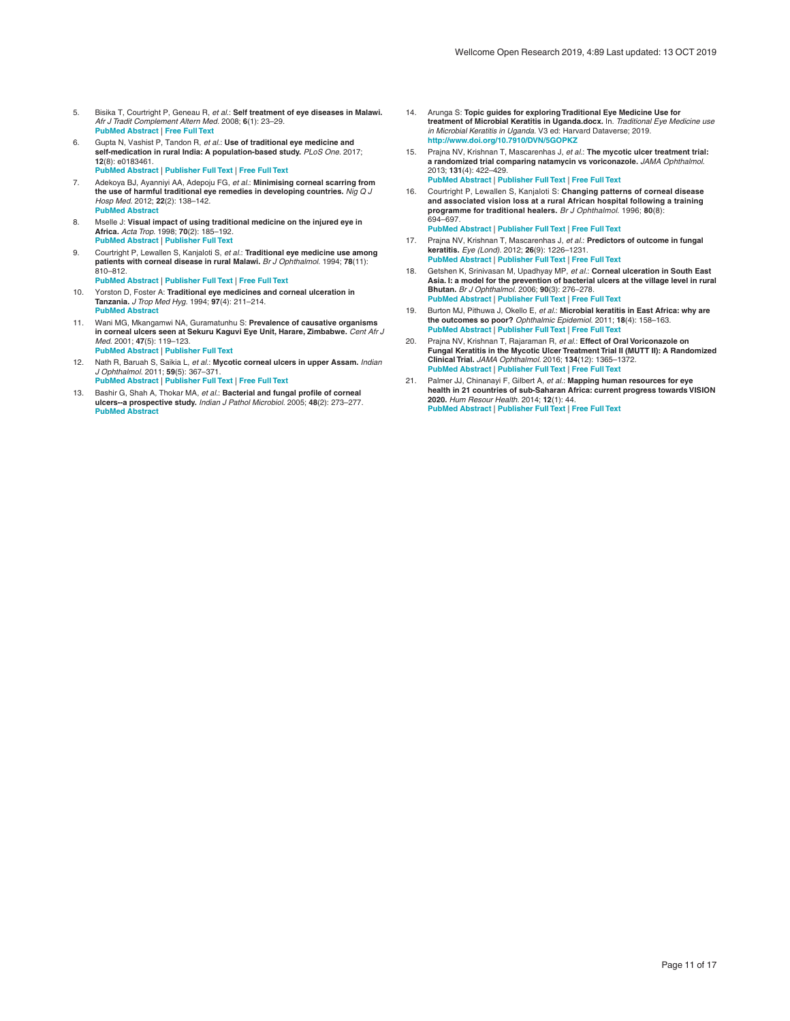- <span id="page-10-0"></span>5. Bisika T, Courtright P, Geneau R, *et al.*: **Self treatment of eye diseases in Malawi.** *Afr J Tradit Complement Altern Med.* 2008; **6**(1): 23–29. **PubMed [Abstract](http://www.ncbi.nlm.nih.gov/pubmed/20162038)** | **[Free](http://www.ncbi.nlm.nih.gov/pmc/articles/2816523) Full Text**
- 6. Gupta N, Vashist P, Tandon R, *et al.*: **Use of traditional eye medicine and self-medication in rural India: A population-based study.** *PLoS One.* 2017; **12**(8): e0183461. **PubMed [Abstract](http://www.ncbi.nlm.nih.gov/pubmed/28829812)** | **[Publisher](http://dx.doi.org/10.1371/journal.pone.0183461) Full Text** | **[Free](http://www.ncbi.nlm.nih.gov/pmc/articles/5567472) Full Text**
- 7. Adekoya BJ, Ayanniyi AA, Adepoju FG, *et al.*: Minimising corneal scarring from<br>the use of harmful traditional eye remedies in developing countries. *Nig Q J Hosp Med.* 2012; **22**(2): 138–142. **PubMed [Abstract](http://www.ncbi.nlm.nih.gov/pubmed/23175915)**
- 8. Mselle J: **Visual impact of using traditional medicine on the injured eye in Africa.** *Acta Trop.* 1998; **70**(2): 185–192. **PubMed [Abstract](http://www.ncbi.nlm.nih.gov/pubmed/9698264)** | **[Publisher](http://dx.doi.org/10.1016/S0001-706X(98)00008-4) Full Text**
- 9. Courtright P, Lewallen S, Kanjaloti S, *et al.*: **Traditional eye medicine use among patients with corneal disease in rural Malawi.** *Br J Ophthalmol.* 1994; **78**(11): 810–812.
	- **PubMed [Abstract](http://www.ncbi.nlm.nih.gov/pubmed/7848973)** | **[Publisher](http://dx.doi.org/10.1136/bjo.78.11.810) Full Text** | **[Free](http://www.ncbi.nlm.nih.gov/pmc/articles/504961) Full Text**
- 10. Yorston D, Foster A: **Traditional eye medicines and corneal ulceration in Tanzania.** *J Trop Med Hyg.* 1994; **97**(4): 211–214. **PubMed [Abstract](http://www.ncbi.nlm.nih.gov/pubmed/8064942)**
- 11. Wani MG, Mkangamwi NA, Guramatunhu S: **Prevalence of causative organisms in corneal ulcers seen at Sekuru Kaguvi Eye Unit, Harare, Zimbabwe.** *Cent Afr J Med.* 2001; **47**(5): 119–123. **PubMed [Abstract](http://www.ncbi.nlm.nih.gov/pubmed/11921669)** | **[Publisher](http://dx.doi.org/10.4314/cajm.v47i5.8601) Full Text**
- 12. Nath R, Baruah S, Saikia L, *et al.*: **Mycotic corneal ulcers in upper Assam.** *Indian J Ophthalmol.* 2011; **59**(5): 367–371. **PubMed [Abstract](http://www.ncbi.nlm.nih.gov/pubmed/21836342)** | **[Publisher](http://dx.doi.org/10.4103/0301-4738.83613) Full Text** | **[Free](http://www.ncbi.nlm.nih.gov/pmc/articles/3159318) Full Text**
- 13. Bashir G, Shah A, Thokar MA, *et al.*: **Bacterial and fungal profile of corneal ulcers--a prospective study.** *Indian J Pathol Microbiol.* 2005; **48**(2): 273–277. **PubMed [Abstract](http://www.ncbi.nlm.nih.gov/pubmed/16758694)**
- 14. Arunga S: **Topic guides for exploring Traditional Eye Medicine Use for treatment of Microbial Keratitis in Uganda.docx.** In. *Traditional Eye Medicine use in Microbial Keratitis in Uganda.* V3 ed: Harvard Dataverse; 2019. **<http://www.doi.org/10.7910/DVN/5GOPKZ>**
- 15. Prajna NV, Krishnan T, Mascarenhas J, *et al.*: **The mycotic ulcer treatment trial: a randomized trial comparing natamycin vs voriconazole.** *JAMA Ophthalmol.* 2013; **131**(4): 422–429. **PubMed [Abstract](http://www.ncbi.nlm.nih.gov/pubmed/23710492)** | **[Publisher](http://dx.doi.org/10.1001/jamaophthalmol.2013.1497) Full Text** | **[Free](http://www.ncbi.nlm.nih.gov/pmc/articles/3769211) Full Text**
- 16. Courtright P, Lewallen S, Kanjaloti S: **Changing patterns of corneal disease and associated vision loss at a rural African hospital following a training programme for traditional healers.** *Br J Ophthalmol.* 1996; **80**(8): 694–697. **PubMed [Abstract](http://www.ncbi.nlm.nih.gov/pubmed/8949711)** | **[Publisher](http://dx.doi.org/10.1136/bjo.80.8.694) Full Text** | **[Free](http://www.ncbi.nlm.nih.gov/pmc/articles/505583) Full Text**
- 17. Prajna NV, Krishnan T, Mascarenhas J, *et al.*: **Predictors of outcome in fungal keratitis.** *Eye (Lond).* 2012; **26**(9): 1226–1231. **PubMed [Abstract](http://www.ncbi.nlm.nih.gov/pubmed/22744392)** | **[Publisher](http://dx.doi.org/10.1038/eye.2012.99) Full Text** | **[Free](http://www.ncbi.nlm.nih.gov/pmc/articles/3443844) Full Text**
- 18. Getshen K, Srinivasan M, Upadhyay MP, *et al.*: **Corneal ulceration in South East Asia. I: a model for the prevention of bacterial ulcers at the village level in rural Bhutan.** *Br J Ophthalmol.* 2006; **90**(3): 276–278. **PubMed [Abstract](http://www.ncbi.nlm.nih.gov/pubmed/16488943)** | **[Publisher](http://dx.doi.org/10.1136/bjo.2005.076083) Full Text** | **[Free](http://www.ncbi.nlm.nih.gov/pmc/articles/1856957) Full Text**
- 19. Burton MJ, Pithuwa J, Okello E, *et al.*: **Microbial keratitis in East Africa: why are the outcomes so poor?** *Ophthalmic Epidemiol.* 2011; **18**(4): 158–163. **PubMed [Abstract](http://www.ncbi.nlm.nih.gov/pubmed/21780874)** | **[Publisher](http://dx.doi.org/10.3109/09286586.2011.595041) Full Text** | **[Free](http://www.ncbi.nlm.nih.gov/pmc/articles/3670402) Full Text**
- 20. Prajna NV, Krishnan T, Rajaraman R, *et al.*: **Effect of Oral Voriconazole on Fungal Keratitis in the Mycotic Ulcer Treatment Trial II (MUTT II): A Randomized Clinical Trial.** *JAMA Ophthalmol.* 2016; **134**(12): 1365–1372. **PubMed [Abstract](http://www.ncbi.nlm.nih.gov/pubmed/27787540)** | **[Publisher](http://dx.doi.org/10.1001/jamaophthalmol.2016.4096) Full Text** | **[Free](http://www.ncbi.nlm.nih.gov/pmc/articles/6044431) Full Text**
- 21. Palmer JJ, Chinanayi F, Gilbert A, *et al.*: **Mapping human resources for eye health in 21 countries of sub-Saharan Africa: current progress towards VISION 2020.** *Hum Resour Health.* 2014; **12**(1): 44. **PubMed [Abstract](http://www.ncbi.nlm.nih.gov/pubmed/25128163)** | **[Publisher](http://dx.doi.org/10.1186/1478-4491-12-44) Full Text** | **[Free](http://www.ncbi.nlm.nih.gov/pmc/articles/4237800) Full Text**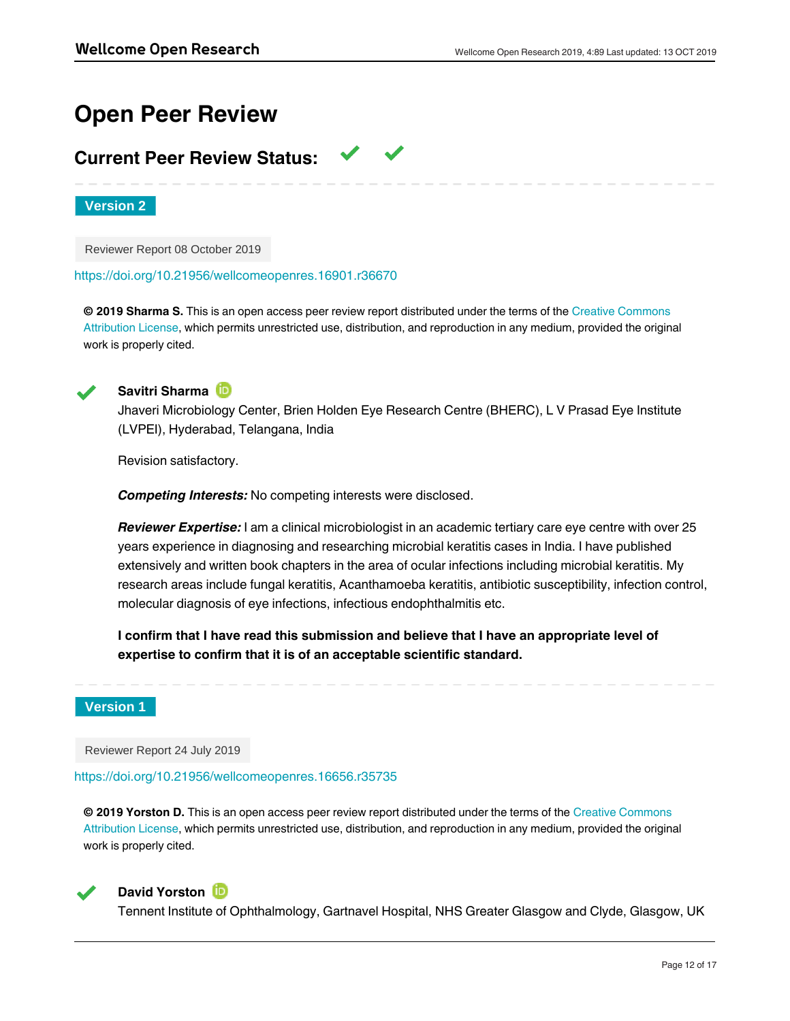# **Open Peer Review**

# **Current Peer Review Status:**

**Version 2**

Reviewer Report 08 October 2019

<https://doi.org/10.21956/wellcomeopenres.16901.r36670>

**© 2019 Sharma S.** This is an open access peer review report distributed under the terms of the [Creative Commons](https://creativecommons.org/licenses/by/4.0/) [Attribution License](https://creativecommons.org/licenses/by/4.0/), which permits unrestricted use, distribution, and reproduction in any medium, provided the original work is properly cited.



**Savitri Sharma**

Jhaveri Microbiology Center, Brien Holden Eye Research Centre (BHERC), L V Prasad Eye Institute (LVPEI), Hyderabad, Telangana, India

Revision satisfactory.

*Competing Interests:* No competing interests were disclosed.

*Reviewer Expertise:* I am a clinical microbiologist in an academic tertiary care eye centre with over 25 years experience in diagnosing and researching microbial keratitis cases in India. I have published extensively and written book chapters in the area of ocular infections including microbial keratitis. My research areas include fungal keratitis, Acanthamoeba keratitis, antibiotic susceptibility, infection control, molecular diagnosis of eye infections, infectious endophthalmitis etc.

**I confirm that I have read this submission and believe that I have an appropriate level of expertise to confirm that it is of an acceptable scientific standard.**

# **Version 1**

Reviewer Report 24 July 2019

<https://doi.org/10.21956/wellcomeopenres.16656.r35735>

**© 2019 Yorston D.** This is an open access peer review report distributed under the terms of the [Creative Commons](https://creativecommons.org/licenses/by/4.0/) [Attribution License](https://creativecommons.org/licenses/by/4.0/), which permits unrestricted use, distribution, and reproduction in any medium, provided the original work is properly cited.



# **David Yorston D**

Tennent Institute of Ophthalmology, Gartnavel Hospital, NHS Greater Glasgow and Clyde, Glasgow, UK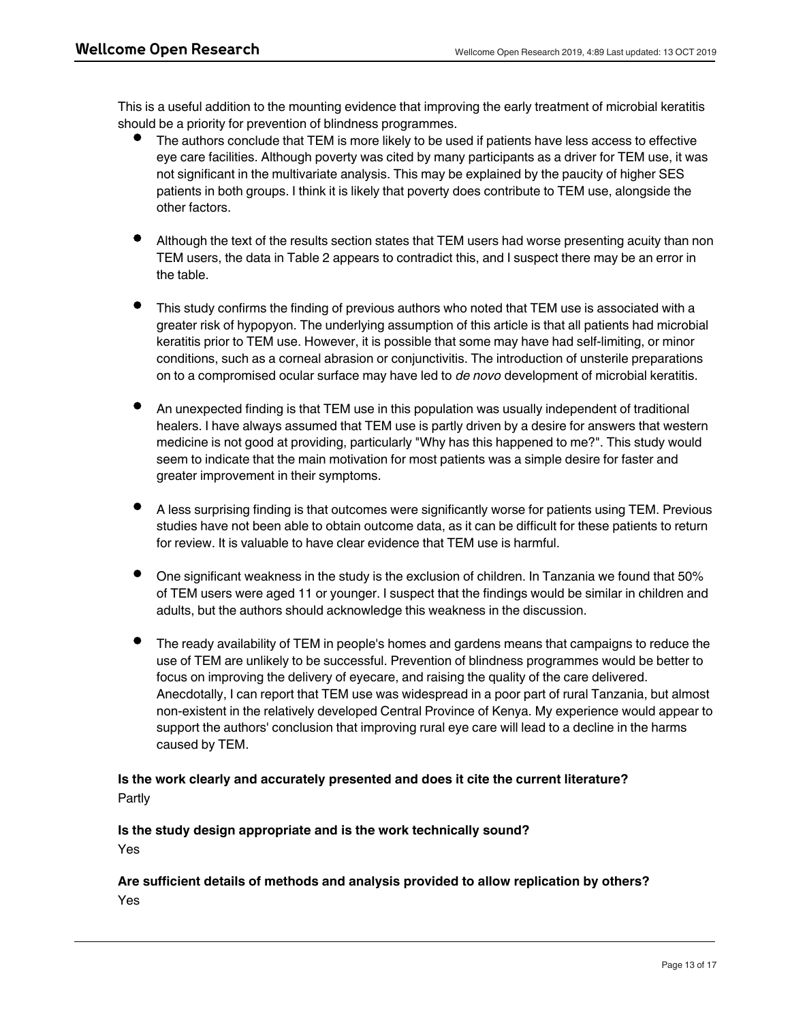This is a useful addition to the mounting evidence that improving the early treatment of microbial keratitis should be a priority for prevention of blindness programmes.

- The authors conclude that TEM is more likely to be used if patients have less access to effective eye care facilities. Although poverty was cited by many participants as a driver for TEM use, it was not significant in the multivariate analysis. This may be explained by the paucity of higher SES patients in both groups. I think it is likely that poverty does contribute to TEM use, alongside the other factors.
- Although the text of the results section states that TEM users had worse presenting acuity than non TEM users, the data in Table 2 appears to contradict this, and I suspect there may be an error in the table.
- This study confirms the finding of previous authors who noted that TEM use is associated with a greater risk of hypopyon. The underlying assumption of this article is that all patients had microbial keratitis prior to TEM use. However, it is possible that some may have had self-limiting, or minor conditions, such as a corneal abrasion or conjunctivitis. The introduction of unsterile preparations on to a compromised ocular surface may have led to *de novo* development of microbial keratitis.
- An unexpected finding is that TEM use in this population was usually independent of traditional healers. I have always assumed that TEM use is partly driven by a desire for answers that western medicine is not good at providing, particularly "Why has this happened to me?". This study would seem to indicate that the main motivation for most patients was a simple desire for faster and greater improvement in their symptoms.
- A less surprising finding is that outcomes were significantly worse for patients using TEM. Previous studies have not been able to obtain outcome data, as it can be difficult for these patients to return for review. It is valuable to have clear evidence that TEM use is harmful.
- One significant weakness in the study is the exclusion of children. In Tanzania we found that 50% of TEM users were aged 11 or younger. I suspect that the findings would be similar in children and adults, but the authors should acknowledge this weakness in the discussion.
- The ready availability of TEM in people's homes and gardens means that campaigns to reduce the use of TEM are unlikely to be successful. Prevention of blindness programmes would be better to focus on improving the delivery of eyecare, and raising the quality of the care delivered. Anecdotally, I can report that TEM use was widespread in a poor part of rural Tanzania, but almost non-existent in the relatively developed Central Province of Kenya. My experience would appear to support the authors' conclusion that improving rural eye care will lead to a decline in the harms caused by TEM.

# **Is the work clearly and accurately presented and does it cite the current literature?** Partly

# **Is the study design appropriate and is the work technically sound?** Yes

**If applicable, is the statistical analysis and its interpretation appropriate?**

# **Are sufficient details of methods and analysis provided to allow replication by others?** Yes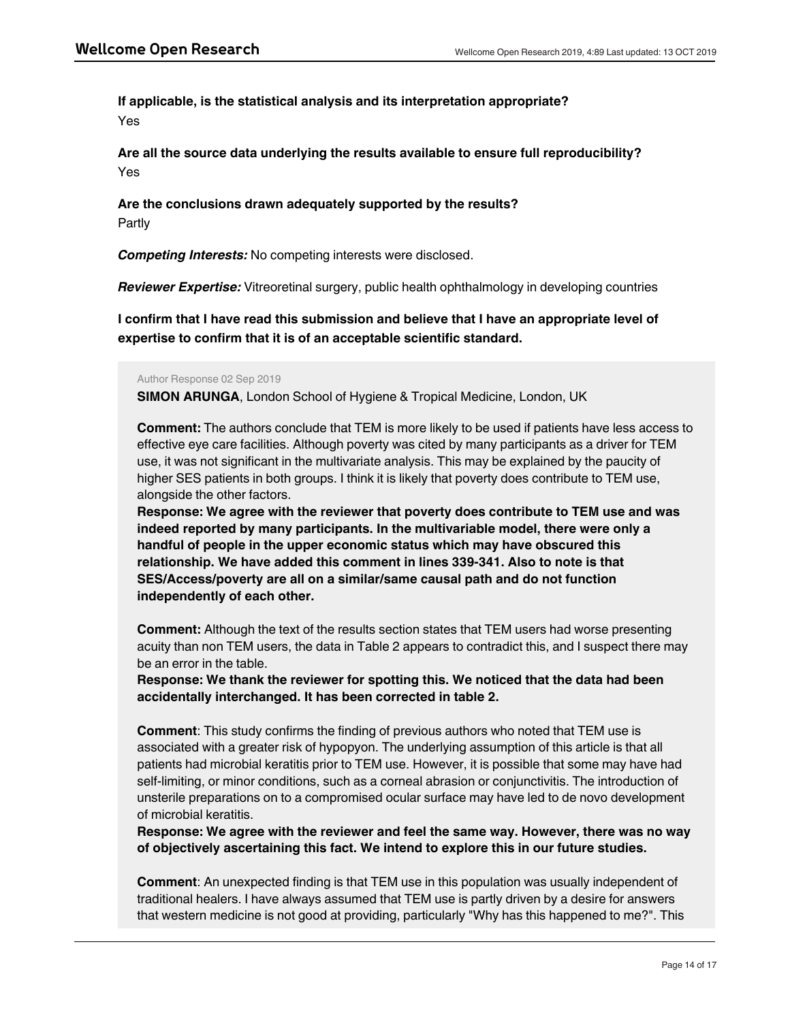**If applicable, is the statistical analysis and its interpretation appropriate?** Yes

**Are all the source data underlying the results available to ensure full reproducibility?** Yes

**Are the conclusions drawn adequately supported by the results?** Partly

*Competing Interests:* No competing interests were disclosed.

*Reviewer Expertise:* Vitreoretinal surgery, public health ophthalmology in developing countries

**I confirm that I have read this submission and believe that I have an appropriate level of expertise to confirm that it is of an acceptable scientific standard.**

# Author Response 02 Sep 2019

**SIMON ARUNGA**, London School of Hygiene & Tropical Medicine, London, UK

**Comment:** The authors conclude that TEM is more likely to be used if patients have less access to effective eye care facilities. Although poverty was cited by many participants as a driver for TEM use, it was not significant in the multivariate analysis. This may be explained by the paucity of higher SES patients in both groups. I think it is likely that poverty does contribute to TEM use, alongside the other factors.

**Response: We agree with the reviewer that poverty does contribute to TEM use and was indeed reported by many participants. In the multivariable model, there were only a handful of people in the upper economic status which may have obscured this relationship. We have added this comment in lines 339-341. Also to note is that SES/Access/poverty are all on a similar/same causal path and do not function independently of each other.**

**Comment:** Although the text of the results section states that TEM users had worse presenting acuity than non TEM users, the data in Table 2 appears to contradict this, and I suspect there may be an error in the table.

**Response: We thank the reviewer for spotting this. We noticed that the data had been accidentally interchanged. It has been corrected in table 2.**

**Comment**: This study confirms the finding of previous authors who noted that TEM use is associated with a greater risk of hypopyon. The underlying assumption of this article is that all patients had microbial keratitis prior to TEM use. However, it is possible that some may have had self-limiting, or minor conditions, such as a corneal abrasion or conjunctivitis. The introduction of unsterile preparations on to a compromised ocular surface may have led to de novo development of microbial keratitis.

**Response: We agree with the reviewer and feel the same way. However, there was no way of objectively ascertaining this fact. We intend to explore this in our future studies.**

**Comment**: An unexpected finding is that TEM use in this population was usually independent of traditional healers. I have always assumed that TEM use is partly driven by a desire for answers that western medicine is not good at providing, particularly "Why has this happened to me?". This

study would seem to indicate that the main motivation for most patients was a simple desire for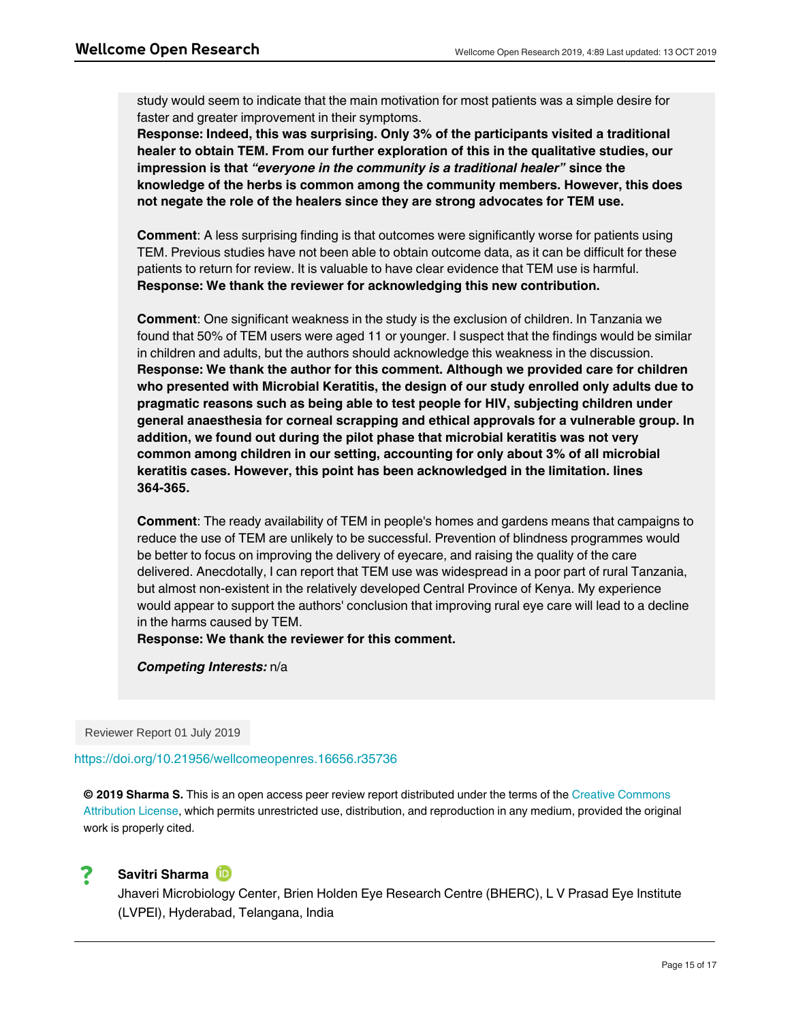study would seem to indicate that the main motivation for most patients was a simple desire for faster and greater improvement in their symptoms.

**Response: Indeed, this was surprising. Only 3% of the participants visited a traditional healer to obtain TEM. From our further exploration of this in the qualitative studies, our impression is that** *"everyone in the community is a traditional healer"* **since the knowledge of the herbs is common among the community members. However, this does not negate the role of the healers since they are strong advocates for TEM use.**

**Comment**: A less surprising finding is that outcomes were significantly worse for patients using TEM. Previous studies have not been able to obtain outcome data, as it can be difficult for these patients to return for review. It is valuable to have clear evidence that TEM use is harmful. **Response: We thank the reviewer for acknowledging this new contribution.**

**Comment**: One significant weakness in the study is the exclusion of children. In Tanzania we found that 50% of TEM users were aged 11 or younger. I suspect that the findings would be similar in children and adults, but the authors should acknowledge this weakness in the discussion. **Response: We thank the author for this comment. Although we provided care for children who presented with Microbial Keratitis, the design of our study enrolled only adults due to pragmatic reasons such as being able to test people for HIV, subjecting children under general anaesthesia for corneal scrapping and ethical approvals for a vulnerable group. In addition, we found out during the pilot phase that microbial keratitis was not very common among children in our setting, accounting for only about 3% of all microbial keratitis cases. However, this point has been acknowledged in the limitation. lines 364-365.**

**Comment**: The ready availability of TEM in people's homes and gardens means that campaigns to reduce the use of TEM are unlikely to be successful. Prevention of blindness programmes would be better to focus on improving the delivery of eyecare, and raising the quality of the care delivered. Anecdotally, I can report that TEM use was widespread in a poor part of rural Tanzania, but almost non-existent in the relatively developed Central Province of Kenya. My experience would appear to support the authors' conclusion that improving rural eye care will lead to a decline in the harms caused by TEM.

**Response: We thank the reviewer for this comment.**

*Competing Interests:* n/a

Reviewer Report 01 July 2019

<https://doi.org/10.21956/wellcomeopenres.16656.r35736>

**© 2019 Sharma S.** This is an open access peer review report distributed under the terms of the [Creative Commons](https://creativecommons.org/licenses/by/4.0/) [Attribution License](https://creativecommons.org/licenses/by/4.0/), which permits unrestricted use, distribution, and reproduction in any medium, provided the original work is properly cited.



# **Savitri Sharma**

Jhaveri Microbiology Center, Brien Holden Eye Research Centre (BHERC), L V Prasad Eye Institute (LVPEI), Hyderabad, Telangana, India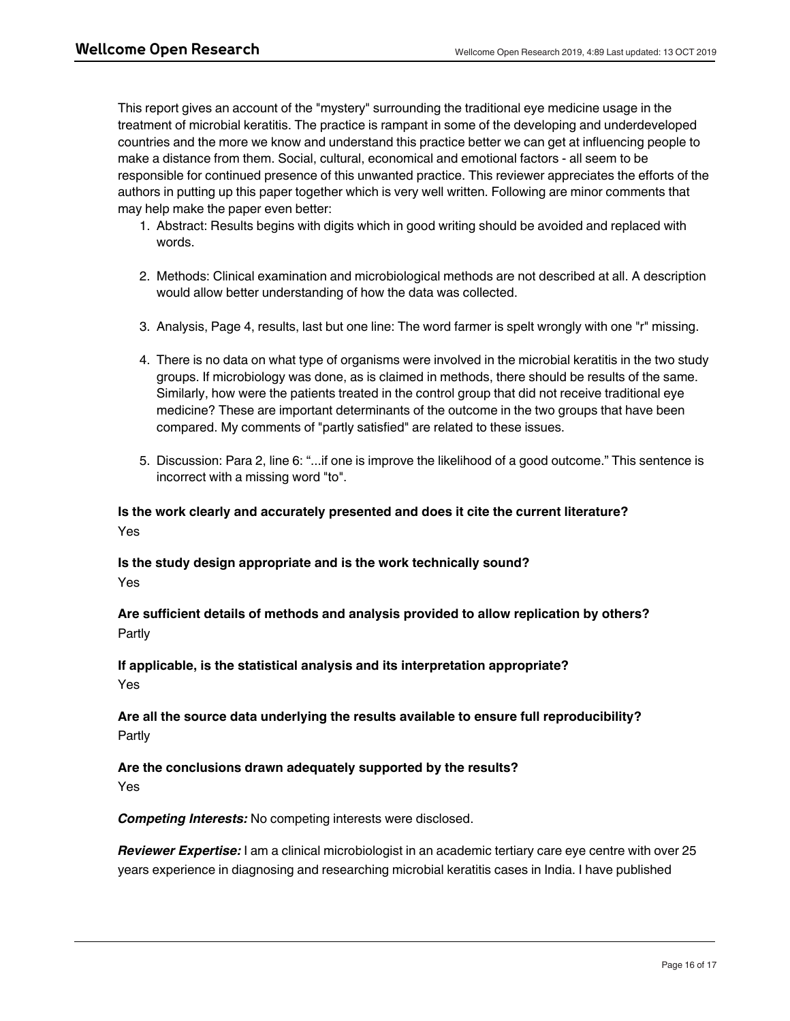This report gives an account of the "mystery" surrounding the traditional eye medicine usage in the treatment of microbial keratitis. The practice is rampant in some of the developing and underdeveloped countries and the more we know and understand this practice better we can get at influencing people to make a distance from them. Social, cultural, economical and emotional factors - all seem to be responsible for continued presence of this unwanted practice. This reviewer appreciates the efforts of the authors in putting up this paper together which is very well written. Following are minor comments that may help make the paper even better:

- 1. Abstract: Results begins with digits which in good writing should be avoided and replaced with words.
- 2. Methods: Clinical examination and microbiological methods are not described at all. A description would allow better understanding of how the data was collected.
- 3. Analysis, Page 4, results, last but one line: The word farmer is spelt wrongly with one "r" missing.
- 4. There is no data on what type of organisms were involved in the microbial keratitis in the two study groups. If microbiology was done, as is claimed in methods, there should be results of the same. Similarly, how were the patients treated in the control group that did not receive traditional eye medicine? These are important determinants of the outcome in the two groups that have been compared. My comments of "partly satisfied" are related to these issues.
- 5. Discussion: Para 2, line 6: "...if one is improve the likelihood of a good outcome." This sentence is incorrect with a missing word "to".

# **Is the work clearly and accurately presented and does it cite the current literature?** Yes

**Is the study design appropriate and is the work technically sound?** Yes

# **Are sufficient details of methods and analysis provided to allow replication by others?** Partly

# **If applicable, is the statistical analysis and its interpretation appropriate?** Yes

# **Are all the source data underlying the results available to ensure full reproducibility?** Partly

# **Are the conclusions drawn adequately supported by the results?** Yes

# *Competing Interests:* No competing interests were disclosed.

*Reviewer Expertise:* I am a clinical microbiologist in an academic tertiary care eye centre with over 25 years experience in diagnosing and researching microbial keratitis cases in India. I have published

extensively and written book chapters in the area of ocular infections including microbial keratitis. My